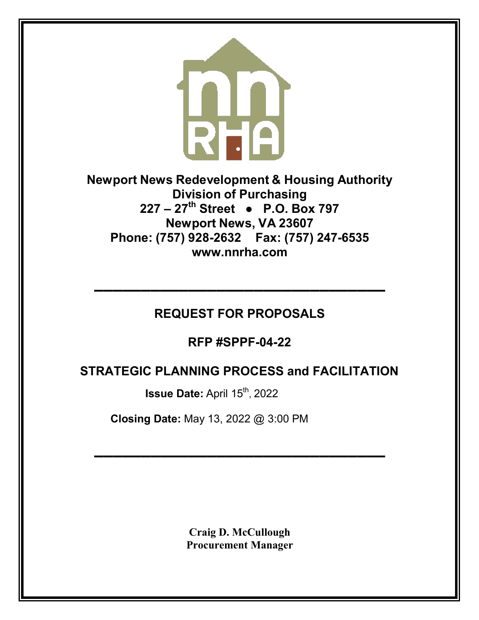

**Newport News Redevelopment & Housing Authority Division of Purchasing 227 – 27th Street ● P.O. Box 797 Newport News, VA 23607 Phone: (757) 928-2632 Fax: (757) 247-653[5](http://www.nnrha.com/) [www.nnrha.com](http://www.nnrha.com/)**

# **REQUEST FOR PROPOSALS**

**▬▬▬▬▬▬▬▬▬▬▬▬▬▬▬▬▬▬▬▬▬▬▬▬▬▬▬▬▬▬▬**

**RFP #SPPF-04-22**

# **STRATEGIC PLANNING PROCESS and FACILITATION**<br>Issue Date: April 15<sup>th</sup>, 2022

 **Closing Date:** May 13, 2022 @ 3:00 PM

**Craig D. McCullough Procurement Manager**

**▬▬▬▬▬▬▬▬▬▬▬▬▬▬▬▬▬▬▬▬▬▬▬▬▬▬▬▬▬▬▬**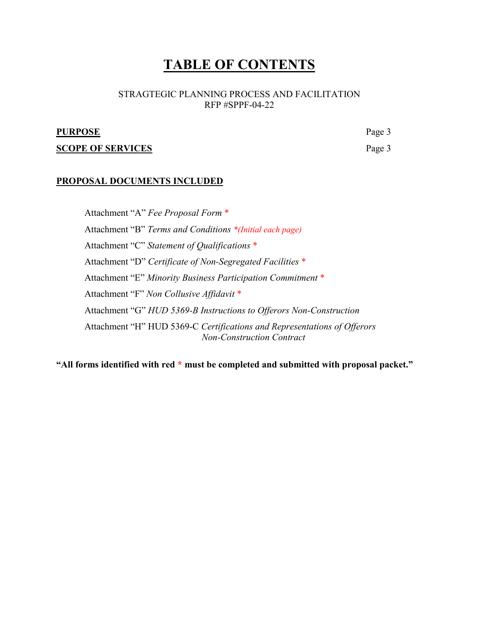## **TABLE OF CONTENTS**

#### STRAGTEGIC PLANNING PROCESS AND FACILITATION RFP #SPPF-04-22

#### **PURPOSE** Page 3

#### **SCOPE OF SERVICES** Page 3

#### **PROPOSAL DOCUMENTS INCLUDED**

Attachment "A" *Fee Proposal Form* \* Attachment "B" *Terms and Conditions \*(Initial each page)* Attachment "C" *Statement of Qualifications* \* Attachment "D" *Certificate of Non-Segregated Facilities* \* Attachment "E" *Minority Business Participation Commitment* \* Attachment "F" *Non Collusive Affidavit* \* Attachment "G" *HUD 5369-B Instructions to Offerors Non-Construction* Attachment "H" HUD 5369-C *Certifications and Representations of Offerors Non-Construction Contract*

**"All forms identified with red \* must be completed and submitted with proposal packet."**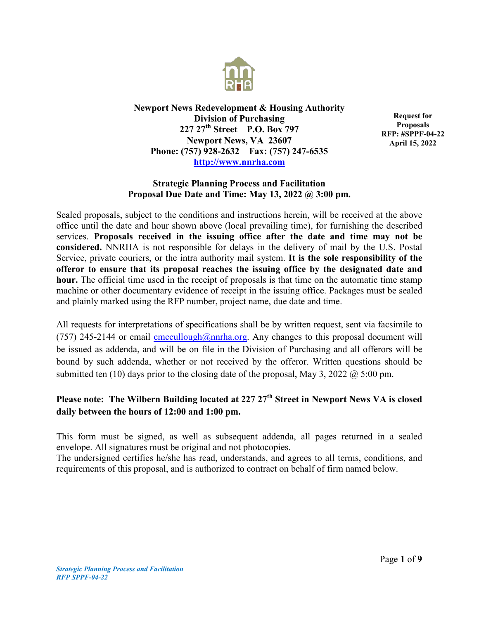

**Newport News Redevelopment & Housing Authority Division of Purchasing 227 27th Street P.O. Box 797 Newport News, VA 23607 Phone: (757) 928-2632 Fax: (757) 247-6535 [http://www.nnrha.com](http://www.nnrha.com/)**

**Request for Proposals RFP: #SPPF-04-22 April 15, 2022**

#### **Strategic Planning Process and Facilitation Proposal Due Date and Time: May 13, 2022 @ 3:00 pm.**

Sealed proposals, subject to the conditions and instructions herein, will be received at the above office until the date and hour shown above (local prevailing time), for furnishing the described services. **Proposals received in the issuing office after the date and time may not be considered.** NNRHA is not responsible for delays in the delivery of mail by the U.S. Postal Service, private couriers, or the intra authority mail system. **It is the sole responsibility of the offeror to ensure that its proposal reaches the issuing office by the designated date and hour.** The official time used in the receipt of proposals is that time on the automatic time stamp machine or other documentary evidence of receipt in the issuing office. Packages must be sealed and plainly marked using the RFP number, project name, due date and time.

All requests for interpretations of specifications shall be by written request, sent via facsimile to (757) 245-2144 or email [cmccullough@nnrha.org.](mailto:cmccullough@nnrha.org) Any changes to this proposal document will be issued as addenda, and will be on file in the Division of Purchasing and all offerors will be bound by such addenda, whether or not received by the offeror. Written questions should be submitted ten (10) days prior to the closing date of the proposal, May 3, 2022  $\omega$  5:00 pm.

## Please note: The Wilbern Building located at 227 27<sup>th</sup> Street in Newport News VA is closed **daily between the hours of 12:00 and 1:00 pm.**

This form must be signed, as well as subsequent addenda, all pages returned in a sealed envelope. All signatures must be original and not photocopies.

The undersigned certifies he/she has read, understands, and agrees to all terms, conditions, and requirements of this proposal, and is authorized to contract on behalf of firm named below.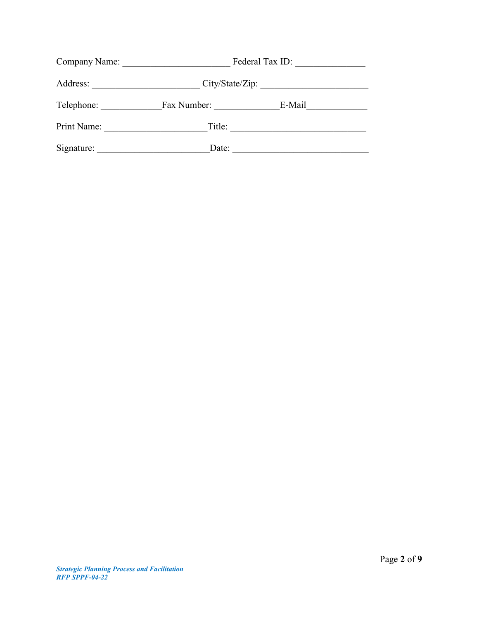| Company Name: | Federal Tax ID: |        |  |  |
|---------------|-----------------|--------|--|--|
| Address:      | City/State/Zip: |        |  |  |
| Telephone:    | Fax Number:     | E-Mail |  |  |
| Print Name:   | Title:          |        |  |  |
| Signature:    | Date:           |        |  |  |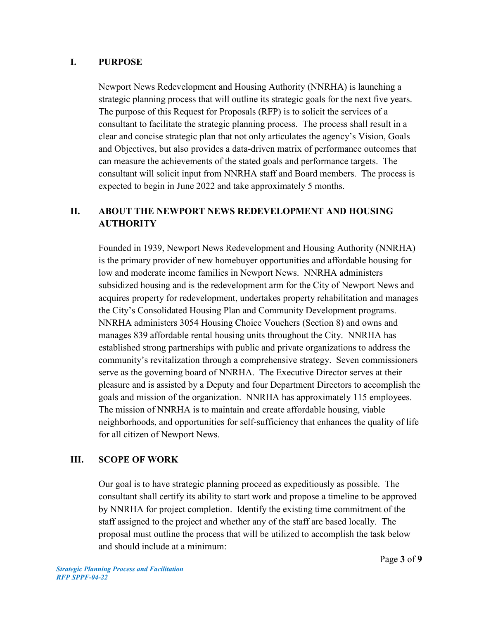## **I. PURPOSE**

Newport News Redevelopment and Housing Authority (NNRHA) is launching a strategic planning process that will outline its strategic goals for the next five years. The purpose of this Request for Proposals (RFP) is to solicit the services of a consultant to facilitate the strategic planning process. The process shall result in a clear and concise strategic plan that not only articulates the agency's Vision, Goals and Objectives, but also provides a data-driven matrix of performance outcomes that can measure the achievements of the stated goals and performance targets. The consultant will solicit input from NNRHA staff and Board members. The process is expected to begin in June 2022 and take approximately 5 months.

## **II. ABOUT THE NEWPORT NEWS REDEVELOPMENT AND HOUSING AUTHORITY**

Founded in 1939, Newport News Redevelopment and Housing Authority (NNRHA) is the primary provider of new homebuyer opportunities and affordable housing for low and moderate income families in Newport News. NNRHA administers subsidized housing and is the redevelopment arm for the City of Newport News and acquires property for redevelopment, undertakes property rehabilitation and manages the City's Consolidated Housing Plan and Community Development programs. NNRHA administers 3054 Housing Choice Vouchers (Section 8) and owns and manages 839 affordable rental housing units throughout the City. NNRHA has established strong partnerships with public and private organizations to address the community's revitalization through a comprehensive strategy. Seven commissioners serve as the governing board of NNRHA. The Executive Director serves at their pleasure and is assisted by a Deputy and four Department Directors to accomplish the goals and mission of the organization. NNRHA has approximately 115 employees. The mission of NNRHA is to maintain and create affordable housing, viable neighborhoods, and opportunities for self-sufficiency that enhances the quality of life for all citizen of Newport News.

## **III. SCOPE OF WORK**

Our goal is to have strategic planning proceed as expeditiously as possible. The consultant shall certify its ability to start work and propose a timeline to be approved by NNRHA for project completion. Identify the existing time commitment of the staff assigned to the project and whether any of the staff are based locally. The proposal must outline the process that will be utilized to accomplish the task below and should include at a minimum: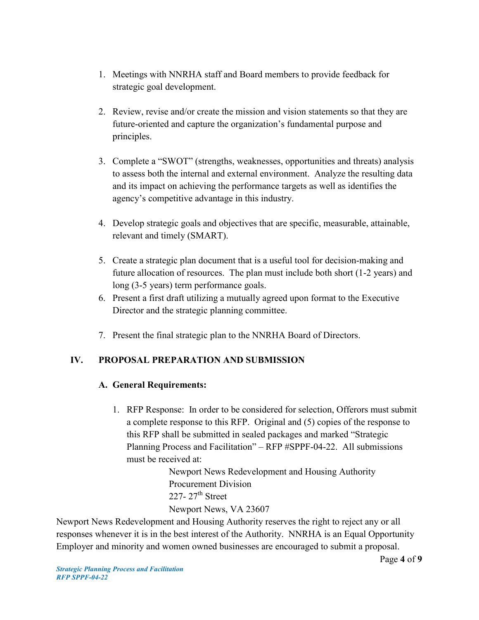- 1. Meetings with NNRHA staff and Board members to provide feedback for strategic goal development.
- 2. Review, revise and/or create the mission and vision statements so that they are future-oriented and capture the organization's fundamental purpose and principles.
- 3. Complete a "SWOT" (strengths, weaknesses, opportunities and threats) analysis to assess both the internal and external environment. Analyze the resulting data and its impact on achieving the performance targets as well as identifies the agency's competitive advantage in this industry.
- 4. Develop strategic goals and objectives that are specific, measurable, attainable, relevant and timely (SMART).
- 5. Create a strategic plan document that is a useful tool for decision-making and future allocation of resources. The plan must include both short (1-2 years) and long (3-5 years) term performance goals.
- 6. Present a first draft utilizing a mutually agreed upon format to the Executive Director and the strategic planning committee.
- 7. Present the final strategic plan to the NNRHA Board of Directors.

## **IV. PROPOSAL PREPARATION AND SUBMISSION**

## **A. General Requirements:**

1. RFP Response: In order to be considered for selection, Offerors must submit a complete response to this RFP. Original and (5) copies of the response to this RFP shall be submitted in sealed packages and marked "Strategic Planning Process and Facilitation" – RFP #SPPF-04-22. All submissions must be received at:

> Newport News Redevelopment and Housing Authority Procurement Division 227-  $27<sup>th</sup>$  Street Newport News, VA 23607

Newport News Redevelopment and Housing Authority reserves the right to reject any or all responses whenever it is in the best interest of the Authority. NNRHA is an Equal Opportunity Employer and minority and women owned businesses are encouraged to submit a proposal.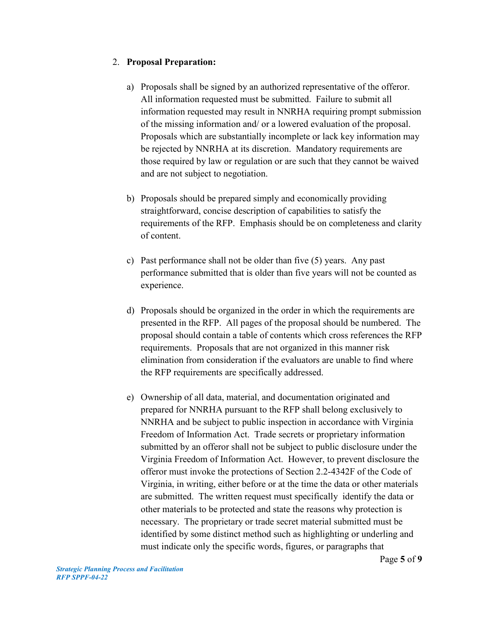## 2. **Proposal Preparation:**

- a) Proposals shall be signed by an authorized representative of the offeror. All information requested must be submitted. Failure to submit all information requested may result in NNRHA requiring prompt submission of the missing information and/ or a lowered evaluation of the proposal. Proposals which are substantially incomplete or lack key information may be rejected by NNRHA at its discretion. Mandatory requirements are those required by law or regulation or are such that they cannot be waived and are not subject to negotiation.
- b) Proposals should be prepared simply and economically providing straightforward, concise description of capabilities to satisfy the requirements of the RFP. Emphasis should be on completeness and clarity of content.
- c) Past performance shall not be older than five (5) years. Any past performance submitted that is older than five years will not be counted as experience.
- d) Proposals should be organized in the order in which the requirements are presented in the RFP. All pages of the proposal should be numbered. The proposal should contain a table of contents which cross references the RFP requirements. Proposals that are not organized in this manner risk elimination from consideration if the evaluators are unable to find where the RFP requirements are specifically addressed.
- e) Ownership of all data, material, and documentation originated and prepared for NNRHA pursuant to the RFP shall belong exclusively to NNRHA and be subject to public inspection in accordance with Virginia Freedom of Information Act. Trade secrets or proprietary information submitted by an offeror shall not be subject to public disclosure under the Virginia Freedom of Information Act. However, to prevent disclosure the offeror must invoke the protections of Section 2.2-4342F of the Code of Virginia, in writing, either before or at the time the data or other materials are submitted. The written request must specifically identify the data or other materials to be protected and state the reasons why protection is necessary. The proprietary or trade secret material submitted must be identified by some distinct method such as highlighting or underling and must indicate only the specific words, figures, or paragraphs that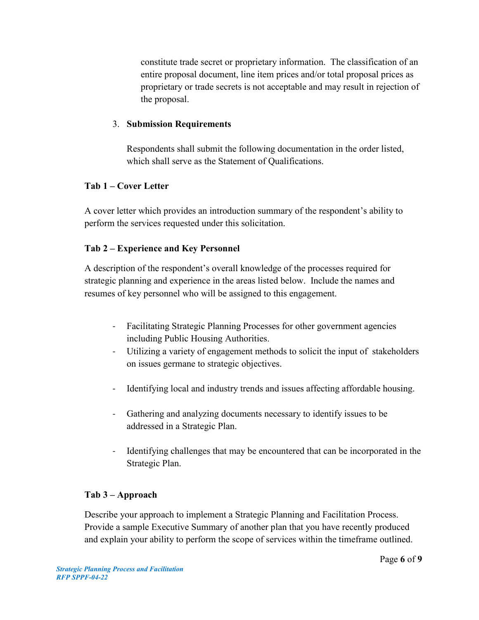constitute trade secret or proprietary information. The classification of an entire proposal document, line item prices and/or total proposal prices as proprietary or trade secrets is not acceptable and may result in rejection of the proposal.

## 3. **Submission Requirements**

Respondents shall submit the following documentation in the order listed, which shall serve as the Statement of Qualifications.

## **Tab 1 – Cover Letter**

A cover letter which provides an introduction summary of the respondent's ability to perform the services requested under this solicitation.

## **Tab 2 – Experience and Key Personnel**

A description of the respondent's overall knowledge of the processes required for strategic planning and experience in the areas listed below. Include the names and resumes of key personnel who will be assigned to this engagement.

- Facilitating Strategic Planning Processes for other government agencies including Public Housing Authorities.
- Utilizing a variety of engagement methods to solicit the input of stakeholders on issues germane to strategic objectives.
- Identifying local and industry trends and issues affecting affordable housing.
- Gathering and analyzing documents necessary to identify issues to be addressed in a Strategic Plan.
- Identifying challenges that may be encountered that can be incorporated in the Strategic Plan.

## **Tab 3 – Approach**

Describe your approach to implement a Strategic Planning and Facilitation Process. Provide a sample Executive Summary of another plan that you have recently produced and explain your ability to perform the scope of services within the timeframe outlined.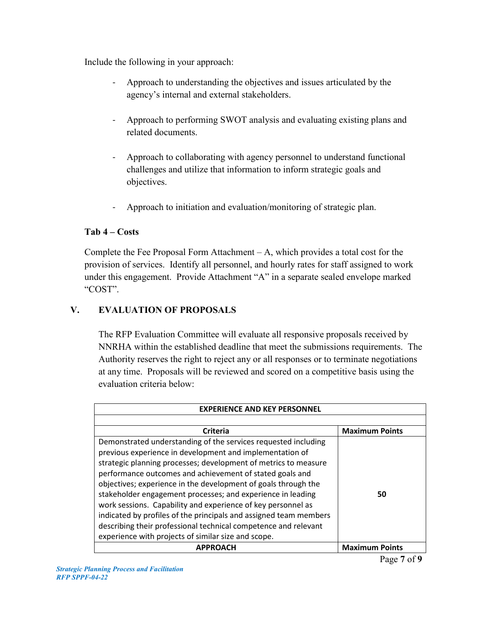Include the following in your approach:

- Approach to understanding the objectives and issues articulated by the agency's internal and external stakeholders.
- Approach to performing SWOT analysis and evaluating existing plans and related documents.
- Approach to collaborating with agency personnel to understand functional challenges and utilize that information to inform strategic goals and objectives.
- Approach to initiation and evaluation/monitoring of strategic plan.

## **Tab 4 – Costs**

Complete the Fee Proposal Form Attachment – A, which provides a total cost for the provision of services. Identify all personnel, and hourly rates for staff assigned to work under this engagement. Provide Attachment "A" in a separate sealed envelope marked "COST".

## **V. EVALUATION OF PROPOSALS**

The RFP Evaluation Committee will evaluate all responsive proposals received by NNRHA within the established deadline that meet the submissions requirements. The Authority reserves the right to reject any or all responses or to terminate negotiations at any time. Proposals will be reviewed and scored on a competitive basis using the evaluation criteria below:

| <b>EXPERIENCE AND KEY PERSONNEL</b>                               |                       |  |
|-------------------------------------------------------------------|-----------------------|--|
|                                                                   |                       |  |
| Criteria                                                          | <b>Maximum Points</b> |  |
| Demonstrated understanding of the services requested including    |                       |  |
| previous experience in development and implementation of          |                       |  |
| strategic planning processes; development of metrics to measure   |                       |  |
| performance outcomes and achievement of stated goals and          |                       |  |
| objectives; experience in the development of goals through the    |                       |  |
| stakeholder engagement processes; and experience in leading       | 50                    |  |
| work sessions. Capability and experience of key personnel as      |                       |  |
| indicated by profiles of the principals and assigned team members |                       |  |
| describing their professional technical competence and relevant   |                       |  |
| experience with projects of similar size and scope.               |                       |  |
| <b>APPROACH</b>                                                   | <b>Maximum Points</b> |  |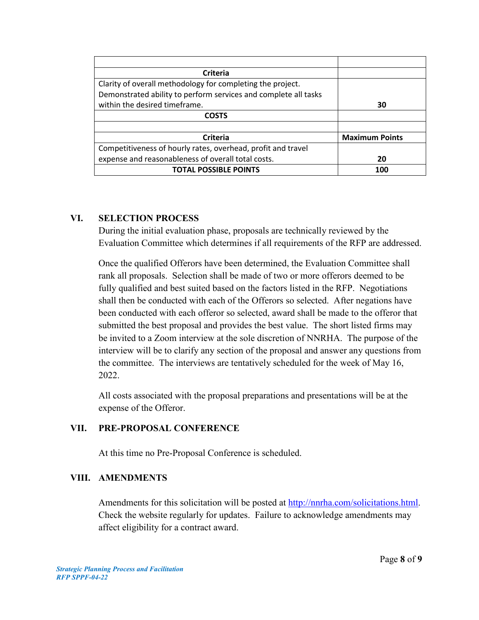| <b>Criteria</b>                                                 |                       |
|-----------------------------------------------------------------|-----------------------|
| Clarity of overall methodology for completing the project.      |                       |
| Demonstrated ability to perform services and complete all tasks |                       |
| within the desired timeframe.                                   | 30                    |
| <b>COSTS</b>                                                    |                       |
|                                                                 |                       |
| Criteria                                                        | <b>Maximum Points</b> |
| Competitiveness of hourly rates, overhead, profit and travel    |                       |
| expense and reasonableness of overall total costs.              | 20                    |
| <b>TOTAL POSSIBLE POINTS</b>                                    | 100                   |

## **VI. SELECTION PROCESS**

During the initial evaluation phase, proposals are technically reviewed by the Evaluation Committee which determines if all requirements of the RFP are addressed.

Once the qualified Offerors have been determined, the Evaluation Committee shall rank all proposals. Selection shall be made of two or more offerors deemed to be fully qualified and best suited based on the factors listed in the RFP. Negotiations shall then be conducted with each of the Offerors so selected. After negations have been conducted with each offeror so selected, award shall be made to the offeror that submitted the best proposal and provides the best value. The short listed firms may be invited to a Zoom interview at the sole discretion of NNRHA. The purpose of the interview will be to clarify any section of the proposal and answer any questions from the committee. The interviews are tentatively scheduled for the week of May 16, 2022.

All costs associated with the proposal preparations and presentations will be at the expense of the Offeror.

## **VII. PRE-PROPOSAL CONFERENCE**

At this time no Pre-Proposal Conference is scheduled.

## **VIII. AMENDMENTS**

Amendments for this solicitation will be posted at [http://nnrha.com/solicitations.html.](http://nnrha.com/solicitations.html) Check the website regularly for updates. Failure to acknowledge amendments may affect eligibility for a contract award.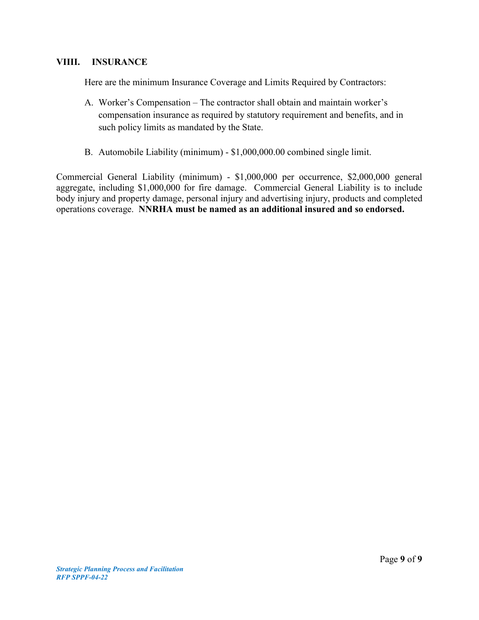#### **VIIII. INSURANCE**

Here are the minimum Insurance Coverage and Limits Required by Contractors:

- A. Worker's Compensation The contractor shall obtain and maintain worker's compensation insurance as required by statutory requirement and benefits, and in such policy limits as mandated by the State.
- B. Automobile Liability (minimum) \$1,000,000.00 combined single limit.

Commercial General Liability (minimum) - \$1,000,000 per occurrence, \$2,000,000 general aggregate, including \$1,000,000 for fire damage. Commercial General Liability is to include body injury and property damage, personal injury and advertising injury, products and completed operations coverage. **NNRHA must be named as an additional insured and so endorsed.**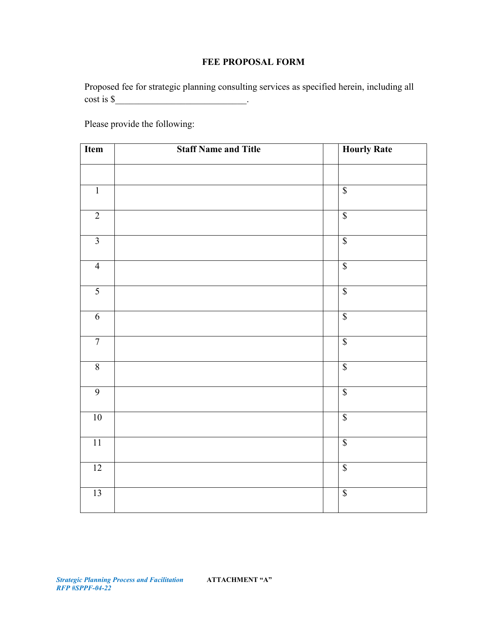## **FEE PROPOSAL FORM**

Proposed fee for strategic planning consulting services as specified herein, including all  $\cosh is \frac{\xi}{2}$ .

Please provide the following:

| Item            | <b>Staff Name and Title</b> | <b>Hourly Rate</b>       |
|-----------------|-----------------------------|--------------------------|
|                 |                             |                          |
| $\overline{1}$  |                             | $\overline{\mathcal{S}}$ |
| $\overline{2}$  |                             | $\sqrt{\frac{2}{5}}$     |
| $\overline{3}$  |                             | $\overline{\mathcal{S}}$ |
| $\overline{4}$  |                             | $\overline{\mathcal{S}}$ |
| $\overline{5}$  |                             | $\overline{\mathcal{S}}$ |
| $\overline{6}$  |                             | $\sqrt{\ }$              |
| $\overline{7}$  |                             | $\sqrt{\ }$              |
| $\overline{8}$  |                             | $\sqrt{\frac{2}{\pi}}$   |
| $\overline{9}$  |                             | $\sqrt{\ }$              |
| $10$            |                             | $\sqrt{\ }$              |
| $11\,$          |                             | $\overline{\mathcal{S}}$ |
| 12              |                             | $\sqrt{\ }$              |
| $\overline{13}$ |                             | $\overline{\mathcal{S}}$ |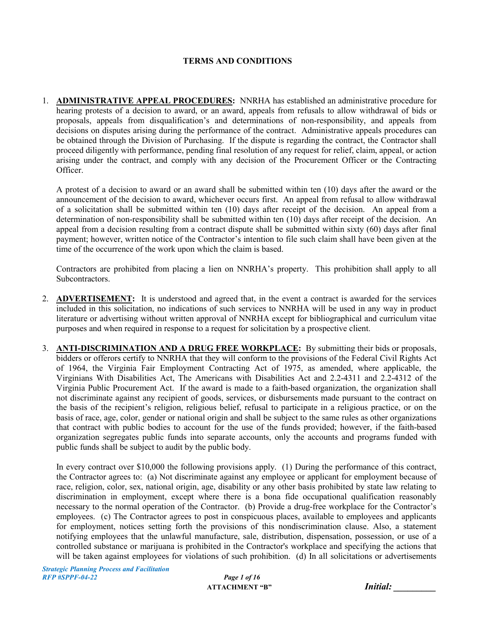#### **TERMS AND CONDITIONS**

1. **ADMINISTRATIVE APPEAL PROCEDURES:** NNRHA has established an administrative procedure for hearing protests of a decision to award, or an award, appeals from refusals to allow withdrawal of bids or proposals, appeals from disqualification's and determinations of non-responsibility, and appeals from decisions on disputes arising during the performance of the contract. Administrative appeals procedures can be obtained through the Division of Purchasing. If the dispute is regarding the contract, the Contractor shall proceed diligently with performance, pending final resolution of any request for relief, claim, appeal, or action arising under the contract, and comply with any decision of the Procurement Officer or the Contracting Officer.

A protest of a decision to award or an award shall be submitted within ten (10) days after the award or the announcement of the decision to award, whichever occurs first. An appeal from refusal to allow withdrawal of a solicitation shall be submitted within ten (10) days after receipt of the decision. An appeal from a determination of non-responsibility shall be submitted within ten (10) days after receipt of the decision. An appeal from a decision resulting from a contract dispute shall be submitted within sixty (60) days after final payment; however, written notice of the Contractor's intention to file such claim shall have been given at the time of the occurrence of the work upon which the claim is based.

Contractors are prohibited from placing a lien on NNRHA's property. This prohibition shall apply to all Subcontractors.

- 2. **ADVERTISEMENT:** It is understood and agreed that, in the event a contract is awarded for the services included in this solicitation, no indications of such services to NNRHA will be used in any way in product literature or advertising without written approval of NNRHA except for bibliographical and curriculum vitae purposes and when required in response to a request for solicitation by a prospective client.
- 3. **ANTI-DISCRIMINATION AND A DRUG FREE WORKPLACE:** By submitting their bids or proposals, bidders or offerors certify to NNRHA that they will conform to the provisions of the Federal Civil Rights Act of 1964, the Virginia Fair Employment Contracting Act of 1975, as amended, where applicable, the Virginians With Disabilities Act, The Americans with Disabilities Act and 2.2-4311 and 2.2-4312 of the Virginia Public Procurement Act. If the award is made to a faith-based organization, the organization shall not discriminate against any recipient of goods, services, or disbursements made pursuant to the contract on the basis of the recipient's religion, religious belief, refusal to participate in a religious practice, or on the basis of race, age, color, gender or national origin and shall be subject to the same rules as other organizations that contract with public bodies to account for the use of the funds provided; however, if the faith-based organization segregates public funds into separate accounts, only the accounts and programs funded with public funds shall be subject to audit by the public body.

In every contract over \$10,000 the following provisions apply. (1) During the performance of this contract, the Contractor agrees to: (a) Not discriminate against any employee or applicant for employment because of race, religion, color, sex, national origin, age, disability or any other basis prohibited by state law relating to discrimination in employment, except where there is a bona fide occupational qualification reasonably necessary to the normal operation of the Contractor. (b) Provide a drug-free workplace for the Contractor's employees. (c) The Contractor agrees to post in conspicuous places, available to employees and applicants for employment, notices setting forth the provisions of this nondiscrimination clause. Also, a statement notifying employees that the unlawful manufacture, sale, distribution, dispensation, possession, or use of a controlled substance or marijuana is prohibited in the Contractor's workplace and specifying the actions that will be taken against employees for violations of such prohibition. (d) In all solicitations or advertisements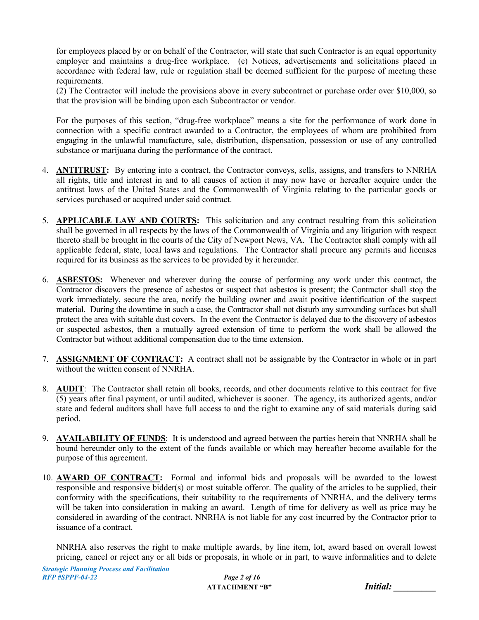for employees placed by or on behalf of the Contractor, will state that such Contractor is an equal opportunity employer and maintains a drug-free workplace. (e) Notices, advertisements and solicitations placed in accordance with federal law, rule or regulation shall be deemed sufficient for the purpose of meeting these requirements.

(2) The Contractor will include the provisions above in every subcontract or purchase order over \$10,000, so that the provision will be binding upon each Subcontractor or vendor.

For the purposes of this section, "drug-free workplace" means a site for the performance of work done in connection with a specific contract awarded to a Contractor, the employees of whom are prohibited from engaging in the unlawful manufacture, sale, distribution, dispensation, possession or use of any controlled substance or marijuana during the performance of the contract.

- 4. **ANTITRUST:** By entering into a contract, the Contractor conveys, sells, assigns, and transfers to NNRHA all rights, title and interest in and to all causes of action it may now have or hereafter acquire under the antitrust laws of the United States and the Commonwealth of Virginia relating to the particular goods or services purchased or acquired under said contract.
- 5. **APPLICABLE LAW AND COURTS:** This solicitation and any contract resulting from this solicitation shall be governed in all respects by the laws of the Commonwealth of Virginia and any litigation with respect thereto shall be brought in the courts of the City of Newport News, VA. The Contractor shall comply with all applicable federal, state, local laws and regulations. The Contractor shall procure any permits and licenses required for its business as the services to be provided by it hereunder.
- 6. **ASBESTOS:** Whenever and wherever during the course of performing any work under this contract, the Contractor discovers the presence of asbestos or suspect that asbestos is present; the Contractor shall stop the work immediately, secure the area, notify the building owner and await positive identification of the suspect material. During the downtime in such a case, the Contractor shall not disturb any surrounding surfaces but shall protect the area with suitable dust covers. In the event the Contractor is delayed due to the discovery of asbestos or suspected asbestos, then a mutually agreed extension of time to perform the work shall be allowed the Contractor but without additional compensation due to the time extension.
- 7. **ASSIGNMENT OF CONTRACT:** A contract shall not be assignable by the Contractor in whole or in part without the written consent of NNRHA.
- 8. **AUDIT**: The Contractor shall retain all books, records, and other documents relative to this contract for five (5) years after final payment, or until audited, whichever is sooner. The agency, its authorized agents, and/or state and federal auditors shall have full access to and the right to examine any of said materials during said period.
- 9. **AVAILABILITY OF FUNDS**: It is understood and agreed between the parties herein that NNRHA shall be bound hereunder only to the extent of the funds available or which may hereafter become available for the purpose of this agreement.
- 10. **AWARD OF CONTRACT:** Formal and informal bids and proposals will be awarded to the lowest responsible and responsive bidder(s) or most suitable offeror. The quality of the articles to be supplied, their conformity with the specifications, their suitability to the requirements of NNRHA, and the delivery terms will be taken into consideration in making an award. Length of time for delivery as well as price may be considered in awarding of the contract. NNRHA is not liable for any cost incurred by the Contractor prior to issuance of a contract.

NNRHA also reserves the right to make multiple awards, by line item, lot, award based on overall lowest pricing, cancel or reject any or all bids or proposals, in whole or in part, to waive informalities and to delete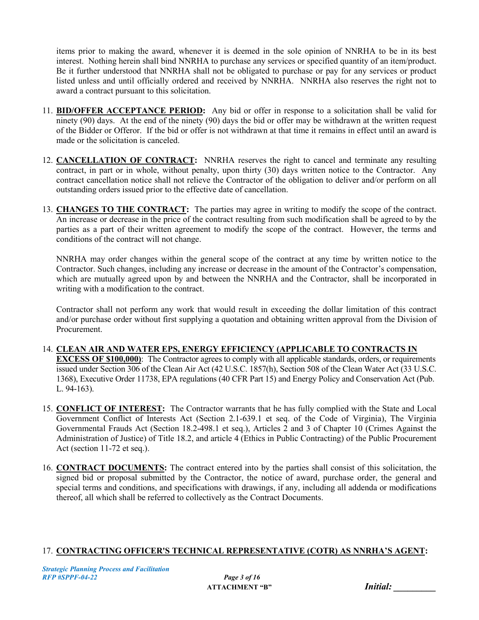items prior to making the award, whenever it is deemed in the sole opinion of NNRHA to be in its best interest. Nothing herein shall bind NNRHA to purchase any services or specified quantity of an item/product. Be it further understood that NNRHA shall not be obligated to purchase or pay for any services or product listed unless and until officially ordered and received by NNRHA. NNRHA also reserves the right not to award a contract pursuant to this solicitation.

- 11. **BID/OFFER ACCEPTANCE PERIOD:** Any bid or offer in response to a solicitation shall be valid for ninety (90) days. At the end of the ninety (90) days the bid or offer may be withdrawn at the written request of the Bidder or Offeror. If the bid or offer is not withdrawn at that time it remains in effect until an award is made or the solicitation is canceled.
- 12. **CANCELLATION OF CONTRACT:** NNRHA reserves the right to cancel and terminate any resulting contract, in part or in whole, without penalty, upon thirty (30) days written notice to the Contractor. Any contract cancellation notice shall not relieve the Contractor of the obligation to deliver and/or perform on all outstanding orders issued prior to the effective date of cancellation.
- 13. **CHANGES TO THE CONTRACT:** The parties may agree in writing to modify the scope of the contract. An increase or decrease in the price of the contract resulting from such modification shall be agreed to by the parties as a part of their written agreement to modify the scope of the contract. However, the terms and conditions of the contract will not change.

NNRHA may order changes within the general scope of the contract at any time by written notice to the Contractor. Such changes, including any increase or decrease in the amount of the Contractor's compensation, which are mutually agreed upon by and between the NNRHA and the Contractor, shall be incorporated in writing with a modification to the contract.

Contractor shall not perform any work that would result in exceeding the dollar limitation of this contract and/or purchase order without first supplying a quotation and obtaining written approval from the Division of Procurement.

- 14. **CLEAN AIR AND WATER EPS, ENERGY EFFICIENCY (APPLICABLE TO CONTRACTS IN EXCESS OF \$100,000)**: The Contractor agrees to comply with all applicable standards, orders, or requirements issued under Section 306 of the Clean Air Act (42 U.S.C. 1857(h), Section 508 of the Clean Water Act (33 U.S.C. 1368), Executive Order 11738, EPA regulations (40 CFR Part 15) and Energy Policy and Conservation Act (Pub. L. 94-163).
- 15. **CONFLICT OF INTEREST:** The Contractor warrants that he has fully complied with the State and Local Government Conflict of Interests Act (Section 2.1-639.1 et seq. of the Code of Virginia), The Virginia Governmental Frauds Act (Section 18.2-498.1 et seq.), Articles 2 and 3 of Chapter 10 (Crimes Against the Administration of Justice) of Title 18.2, and article 4 (Ethics in Public Contracting) of the Public Procurement Act (section 11-72 et seq.).
- 16. **CONTRACT DOCUMENTS:** The contract entered into by the parties shall consist of this solicitation, the signed bid or proposal submitted by the Contractor, the notice of award, purchase order, the general and special terms and conditions, and specifications with drawings, if any, including all addenda or modifications thereof, all which shall be referred to collectively as the Contract Documents.

## 17. **CONTRACTING OFFICER'S TECHNICAL REPRESENTATIVE (COTR) AS NNRHA'S AGENT:**

| Initial: |  |  |
|----------|--|--|
|          |  |  |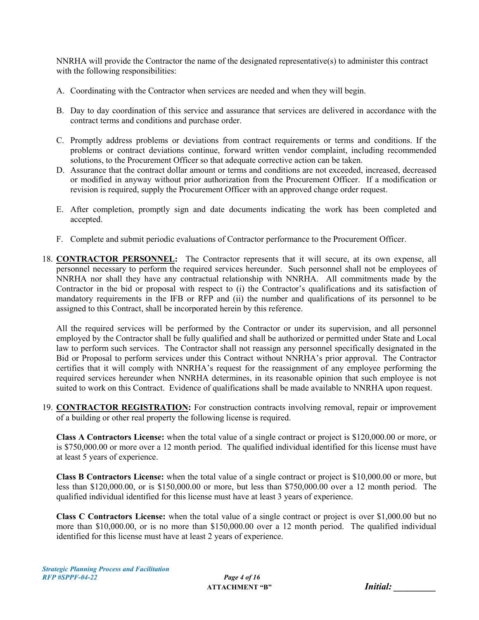NNRHA will provide the Contractor the name of the designated representative(s) to administer this contract with the following responsibilities:

- A. Coordinating with the Contractor when services are needed and when they will begin.
- B. Day to day coordination of this service and assurance that services are delivered in accordance with the contract terms and conditions and purchase order.
- C. Promptly address problems or deviations from contract requirements or terms and conditions. If the problems or contract deviations continue, forward written vendor complaint, including recommended solutions, to the Procurement Officer so that adequate corrective action can be taken.
- D. Assurance that the contract dollar amount or terms and conditions are not exceeded, increased, decreased or modified in anyway without prior authorization from the Procurement Officer. If a modification or revision is required, supply the Procurement Officer with an approved change order request.
- E. After completion, promptly sign and date documents indicating the work has been completed and accepted.
- F. Complete and submit periodic evaluations of Contractor performance to the Procurement Officer.
- 18. **CONTRACTOR PERSONNEL:** The Contractor represents that it will secure, at its own expense, all personnel necessary to perform the required services hereunder. Such personnel shall not be employees of NNRHA nor shall they have any contractual relationship with NNRHA. All commitments made by the Contractor in the bid or proposal with respect to (i) the Contractor's qualifications and its satisfaction of mandatory requirements in the IFB or RFP and (ii) the number and qualifications of its personnel to be assigned to this Contract, shall be incorporated herein by this reference.

All the required services will be performed by the Contractor or under its supervision, and all personnel employed by the Contractor shall be fully qualified and shall be authorized or permitted under State and Local law to perform such services. The Contractor shall not reassign any personnel specifically designated in the Bid or Proposal to perform services under this Contract without NNRHA's prior approval. The Contractor certifies that it will comply with NNRHA's request for the reassignment of any employee performing the required services hereunder when NNRHA determines, in its reasonable opinion that such employee is not suited to work on this Contract. Evidence of qualifications shall be made available to NNRHA upon request.

19. **CONTRACTOR REGISTRATION:** For construction contracts involving removal, repair or improvement of a building or other real property the following license is required.

**Class A Contractors License:** when the total value of a single contract or project is \$120,000.00 or more, or is \$750,000.00 or more over a 12 month period. The qualified individual identified for this license must have at least 5 years of experience.

**Class B Contractors License:** when the total value of a single contract or project is \$10,000.00 or more, but less than \$120,000.00, or is \$150,000.00 or more, but less than \$750,000.00 over a 12 month period. The qualified individual identified for this license must have at least 3 years of experience.

**Class C Contractors License:** when the total value of a single contract or project is over \$1,000.00 but no more than \$10,000.00, or is no more than \$150,000.00 over a 12 month period. The qualified individual identified for this license must have at least 2 years of experience.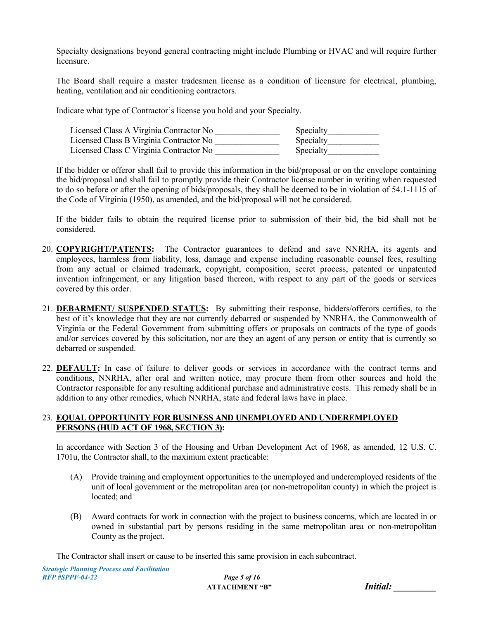Specialty designations beyond general contracting might include Plumbing or HVAC and will require further licensure.

The Board shall require a master tradesmen license as a condition of licensure for electrical, plumbing, heating, ventilation and air conditioning contractors.

Indicate what type of Contractor's license you hold and your Specialty.

| Licensed Class A Virginia Contractor No | Specialty |
|-----------------------------------------|-----------|
| Licensed Class B Virginia Contractor No | Specialty |
| Licensed Class C Virginia Contractor No | Specialty |

If the bidder or offeror shall fail to provide this information in the bid/proposal or on the envelope containing the bid/proposal and shall fail to promptly provide their Contractor license number in writing when requested to do so before or after the opening of bids/proposals, they shall be deemed to be in violation of 54.1-1115 of the Code of Virginia (1950), as amended, and the bid/proposal will not be considered.

If the bidder fails to obtain the required license prior to submission of their bid, the bid shall not be considered.

- 20. **COPYRIGHT/PATENTS:** The Contractor guarantees to defend and save NNRHA, its agents and employees, harmless from liability, loss, damage and expense including reasonable counsel fees, resulting from any actual or claimed trademark, copyright, composition, secret process, patented or unpatented invention infringement, or any litigation based thereon, with respect to any part of the goods or services covered by this order.
- 21. **DEBARMENT/ SUSPENDED STATUS:** By submitting their response, bidders/offerors certifies, to the best of it's knowledge that they are not currently debarred or suspended by NNRHA, the Commonwealth of Virginia or the Federal Government from submitting offers or proposals on contracts of the type of goods and/or services covered by this solicitation, nor are they an agent of any person or entity that is currently so debarred or suspended.
- 22. **DEFAULT:** In case of failure to deliver goods or services in accordance with the contract terms and conditions, NNRHA, after oral and written notice, may procure them from other sources and hold the Contractor responsible for any resulting additional purchase and administrative costs. This remedy shall be in addition to any other remedies, which NNRHA, state and federal laws have in place.

#### 23. **EQUAL OPPORTUNITY FOR BUSINESS AND UNEMPLOYED AND UNDEREMPLOYED PERSONS (HUD ACT OF 1968, SECTION 3):**

In accordance with Section 3 of the Housing and Urban Development Act of 1968, as amended, 12 U.S. C. 1701u, the Contractor shall, to the maximum extent practicable:

- (A) Provide training and employment opportunities to the unemployed and underemployed residents of the unit of local government or the metropolitan area (or non-metropolitan county) in which the project is located; and
- (B) Award contracts for work in connection with the project to business concerns, which are located in or owned in substantial part by persons residing in the same metropolitan area or non-metropolitan County as the project.

The Contractor shall insert or cause to be inserted this same provision in each subcontract.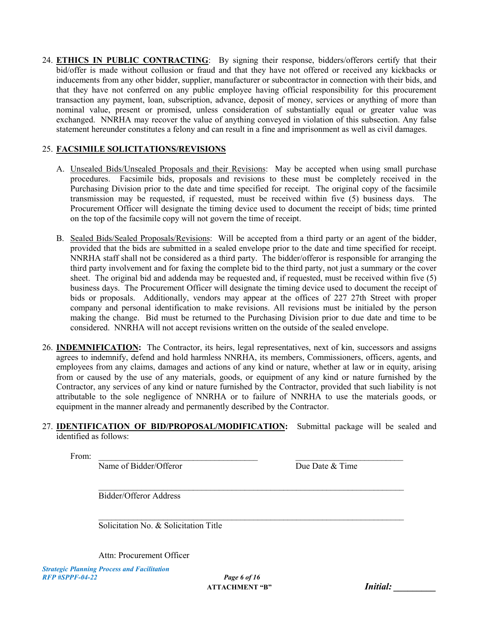24. **ETHICS IN PUBLIC CONTRACTING**: By signing their response, bidders/offerors certify that their bid/offer is made without collusion or fraud and that they have not offered or received any kickbacks or inducements from any other bidder, supplier, manufacturer or subcontractor in connection with their bids, and that they have not conferred on any public employee having official responsibility for this procurement transaction any payment, loan, subscription, advance, deposit of money, services or anything of more than nominal value, present or promised, unless consideration of substantially equal or greater value was exchanged. NNRHA may recover the value of anything conveyed in violation of this subsection. Any false statement hereunder constitutes a felony and can result in a fine and imprisonment as well as civil damages.

#### 25. **FACSIMILE SOLICITATIONS/REVISIONS**

- A. Unsealed Bids/Unsealed Proposals and their Revisions: May be accepted when using small purchase procedures. Facsimile bids, proposals and revisions to these must be completely received in the Purchasing Division prior to the date and time specified for receipt. The original copy of the facsimile transmission may be requested, if requested, must be received within five (5) business days. The Procurement Officer will designate the timing device used to document the receipt of bids; time printed on the top of the facsimile copy will not govern the time of receipt.
- B. Sealed Bids/Sealed Proposals/Revisions: Will be accepted from a third party or an agent of the bidder, provided that the bids are submitted in a sealed envelope prior to the date and time specified for receipt. NNRHA staff shall not be considered as a third party. The bidder/offeror is responsible for arranging the third party involvement and for faxing the complete bid to the third party, not just a summary or the cover sheet. The original bid and addenda may be requested and, if requested, must be received within five (5) business days. The Procurement Officer will designate the timing device used to document the receipt of bids or proposals. Additionally, vendors may appear at the offices of 227 27th Street with proper company and personal identification to make revisions. All revisions must be initialed by the person making the change. Bid must be returned to the Purchasing Division prior to due date and time to be considered. NNRHA will not accept revisions written on the outside of the sealed envelope.
- 26. **INDEMNIFICATION:** The Contractor, its heirs, legal representatives, next of kin, successors and assigns agrees to indemnify, defend and hold harmless NNRHA, its members, Commissioners, officers, agents, and employees from any claims, damages and actions of any kind or nature, whether at law or in equity, arising from or caused by the use of any materials, goods, or equipment of any kind or nature furnished by the Contractor, any services of any kind or nature furnished by the Contractor, provided that such liability is not attributable to the sole negligence of NNRHA or to failure of NNRHA to use the materials goods, or equipment in the manner already and permanently described by the Contractor.

#### 27. **IDENTIFICATION OF BID/PROPOSAL/MODIFICATION:** Submittal package will be sealed and identified as follows:

 $\mathcal{L}_\text{max}$  , and the contribution of the contribution of the contribution of the contribution of the contribution of the contribution of the contribution of the contribution of the contribution of the contribution of t

 $\mathcal{L}_\text{max}$  , and the contribution of the contribution of the contribution of the contribution of the contribution of the contribution of the contribution of the contribution of the contribution of the contribution of t

From: \_\_\_\_\_\_\_\_\_\_\_\_\_\_\_\_\_\_\_\_\_\_\_\_\_\_\_\_\_\_\_\_\_\_\_\_\_ \_\_\_\_\_\_\_\_\_\_\_\_\_\_\_\_\_\_\_\_\_\_\_\_\_

Name of Bidder/Offeror Due Date & Time

Bidder/Offeror Address

Solicitation No. & Solicitation Title

Attn: Procurement Officer

| Initial: |  |
|----------|--|
|          |  |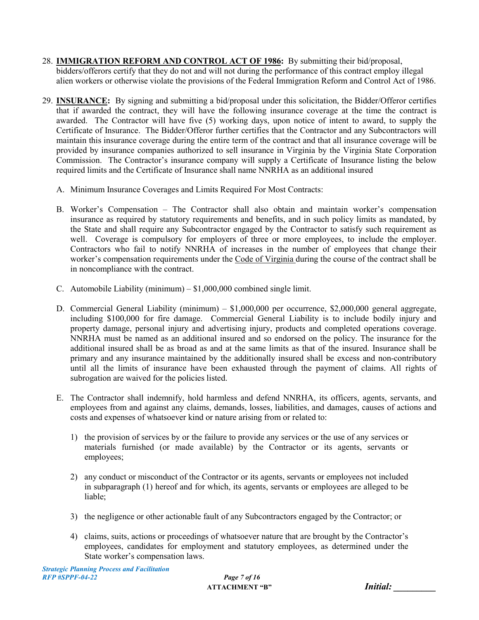- 28. **IMMIGRATION REFORM AND CONTROL ACT OF 1986:** By submitting their bid/proposal, bidders/offerors certify that they do not and will not during the performance of this contract employ illegal alien workers or otherwise violate the provisions of the Federal Immigration Reform and Control Act of 1986.
- 29. **INSURANCE:** By signing and submitting a bid/proposal under this solicitation, the Bidder/Offeror certifies that if awarded the contract, they will have the following insurance coverage at the time the contract is awarded. The Contractor will have five (5) working days, upon notice of intent to award, to supply the Certificate of Insurance. The Bidder/Offeror further certifies that the Contractor and any Subcontractors will maintain this insurance coverage during the entire term of the contract and that all insurance coverage will be provided by insurance companies authorized to sell insurance in Virginia by the Virginia State Corporation Commission. The Contractor's insurance company will supply a Certificate of Insurance listing the below required limits and the Certificate of Insurance shall name NNRHA as an additional insured
	- A. Minimum Insurance Coverages and Limits Required For Most Contracts:
	- B. Worker's Compensation The Contractor shall also obtain and maintain worker's compensation insurance as required by statutory requirements and benefits, and in such policy limits as mandated, by the State and shall require any Subcontractor engaged by the Contractor to satisfy such requirement as well. Coverage is compulsory for employers of three or more employees, to include the employer. Contractors who fail to notify NNRHA of increases in the number of employees that change their worker's compensation requirements under the Code of Virginia during the course of the contract shall be in noncompliance with the contract.
	- C. Automobile Liability (minimum)  $$1,000,000$  combined single limit.
	- D. Commercial General Liability (minimum) \$1,000,000 per occurrence, \$2,000,000 general aggregate, including \$100,000 for fire damage. Commercial General Liability is to include bodily injury and property damage, personal injury and advertising injury, products and completed operations coverage. NNRHA must be named as an additional insured and so endorsed on the policy. The insurance for the additional insured shall be as broad as and at the same limits as that of the insured. Insurance shall be primary and any insurance maintained by the additionally insured shall be excess and non-contributory until all the limits of insurance have been exhausted through the payment of claims. All rights of subrogation are waived for the policies listed.
	- E. The Contractor shall indemnify, hold harmless and defend NNRHA, its officers, agents, servants, and employees from and against any claims, demands, losses, liabilities, and damages, causes of actions and costs and expenses of whatsoever kind or nature arising from or related to:
		- 1) the provision of services by or the failure to provide any services or the use of any services or materials furnished (or made available) by the Contractor or its agents, servants or employees;
		- 2) any conduct or misconduct of the Contractor or its agents, servants or employees not included in subparagraph (1) hereof and for which, its agents, servants or employees are alleged to be liable;
		- 3) the negligence or other actionable fault of any Subcontractors engaged by the Contractor; or
		- 4) claims, suits, actions or proceedings of whatsoever nature that are brought by the Contractor's employees, candidates for employment and statutory employees, as determined under the State worker's compensation laws.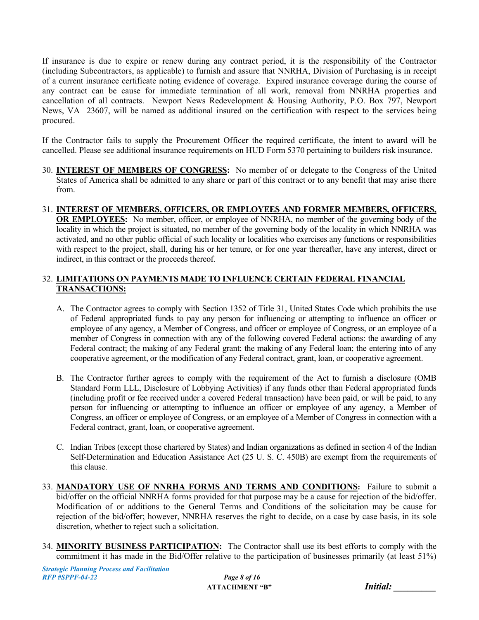If insurance is due to expire or renew during any contract period, it is the responsibility of the Contractor (including Subcontractors, as applicable) to furnish and assure that NNRHA, Division of Purchasing is in receipt of a current insurance certificate noting evidence of coverage. Expired insurance coverage during the course of any contract can be cause for immediate termination of all work, removal from NNRHA properties and cancellation of all contracts. Newport News Redevelopment & Housing Authority, P.O. Box 797, Newport News, VA 23607, will be named as additional insured on the certification with respect to the services being procured.

If the Contractor fails to supply the Procurement Officer the required certificate, the intent to award will be cancelled. Please see additional insurance requirements on HUD Form 5370 pertaining to builders risk insurance.

- 30. **INTEREST OF MEMBERS OF CONGRESS:** No member of or delegate to the Congress of the United States of America shall be admitted to any share or part of this contract or to any benefit that may arise there from.
- 31. **INTEREST OF MEMBERS, OFFICERS, OR EMPLOYEES AND FORMER MEMBERS, OFFICERS, OR EMPLOYEES:** No member, officer, or employee of NNRHA, no member of the governing body of the locality in which the project is situated, no member of the governing body of the locality in which NNRHA was activated, and no other public official of such locality or localities who exercises any functions or responsibilities with respect to the project, shall, during his or her tenure, or for one year thereafter, have any interest, direct or indirect, in this contract or the proceeds thereof.

#### 32. **LIMITATIONS ON PAYMENTS MADE TO INFLUENCE CERTAIN FEDERAL FINANCIAL TRANSACTIONS:**

- A. The Contractor agrees to comply with Section 1352 of Title 31, United States Code which prohibits the use of Federal appropriated funds to pay any person for influencing or attempting to influence an officer or employee of any agency, a Member of Congress, and officer or employee of Congress, or an employee of a member of Congress in connection with any of the following covered Federal actions: the awarding of any Federal contract; the making of any Federal grant; the making of any Federal loan; the entering into of any cooperative agreement, or the modification of any Federal contract, grant, loan, or cooperative agreement.
- B. The Contractor further agrees to comply with the requirement of the Act to furnish a disclosure (OMB Standard Form LLL, Disclosure of Lobbying Activities) if any funds other than Federal appropriated funds (including profit or fee received under a covered Federal transaction) have been paid, or will be paid, to any person for influencing or attempting to influence an officer or employee of any agency, a Member of Congress, an officer or employee of Congress, or an employee of a Member of Congress in connection with a Federal contract, grant, loan, or cooperative agreement.
- C. Indian Tribes (except those chartered by States) and Indian organizations as defined in section 4 of the Indian Self-Determination and Education Assistance Act (25 U. S. C. 450B) are exempt from the requirements of this clause.
- 33. **MANDATORY USE OF NNRHA FORMS AND TERMS AND CONDITIONS:** Failure to submit a bid/offer on the official NNRHA forms provided for that purpose may be a cause for rejection of the bid/offer. Modification of or additions to the General Terms and Conditions of the solicitation may be cause for rejection of the bid/offer; however, NNRHA reserves the right to decide, on a case by case basis, in its sole discretion, whether to reject such a solicitation.
- 34. **MINORITY BUSINESS PARTICIPATION:** The Contractor shall use its best efforts to comply with the commitment it has made in the Bid/Offer relative to the participation of businesses primarily (at least 51%)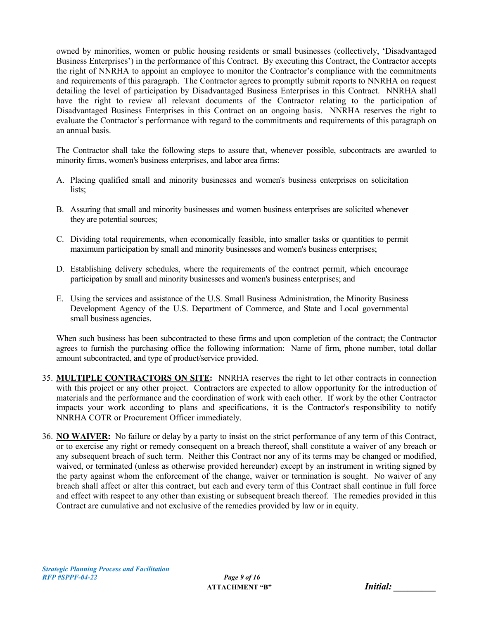owned by minorities, women or public housing residents or small businesses (collectively, 'Disadvantaged Business Enterprises') in the performance of this Contract. By executing this Contract, the Contractor accepts the right of NNRHA to appoint an employee to monitor the Contractor's compliance with the commitments and requirements of this paragraph. The Contractor agrees to promptly submit reports to NNRHA on request detailing the level of participation by Disadvantaged Business Enterprises in this Contract. NNRHA shall have the right to review all relevant documents of the Contractor relating to the participation of Disadvantaged Business Enterprises in this Contract on an ongoing basis. NNRHA reserves the right to evaluate the Contractor's performance with regard to the commitments and requirements of this paragraph on an annual basis.

The Contractor shall take the following steps to assure that, whenever possible, subcontracts are awarded to minority firms, women's business enterprises, and labor area firms:

- A. Placing qualified small and minority businesses and women's business enterprises on solicitation lists;
- B. Assuring that small and minority businesses and women business enterprises are solicited whenever they are potential sources;
- C. Dividing total requirements, when economically feasible, into smaller tasks or quantities to permit maximum participation by small and minority businesses and women's business enterprises;
- D. Establishing delivery schedules, where the requirements of the contract permit, which encourage participation by small and minority businesses and women's business enterprises; and
- E. Using the services and assistance of the U.S. Small Business Administration, the Minority Business Development Agency of the U.S. Department of Commerce, and State and Local governmental small business agencies.

When such business has been subcontracted to these firms and upon completion of the contract; the Contractor agrees to furnish the purchasing office the following information: Name of firm, phone number, total dollar amount subcontracted, and type of product/service provided.

- 35. **MULTIPLE CONTRACTORS ON SITE:** NNRHA reserves the right to let other contracts in connection with this project or any other project. Contractors are expected to allow opportunity for the introduction of materials and the performance and the coordination of work with each other. If work by the other Contractor impacts your work according to plans and specifications, it is the Contractor's responsibility to notify NNRHA COTR or Procurement Officer immediately.
- 36. **NO WAIVER:** No failure or delay by a party to insist on the strict performance of any term of this Contract, or to exercise any right or remedy consequent on a breach thereof, shall constitute a waiver of any breach or any subsequent breach of such term. Neither this Contract nor any of its terms may be changed or modified, waived, or terminated (unless as otherwise provided hereunder) except by an instrument in writing signed by the party against whom the enforcement of the change, waiver or termination is sought. No waiver of any breach shall affect or alter this contract, but each and every term of this Contract shall continue in full force and effect with respect to any other than existing or subsequent breach thereof. The remedies provided in this Contract are cumulative and not exclusive of the remedies provided by law or in equity.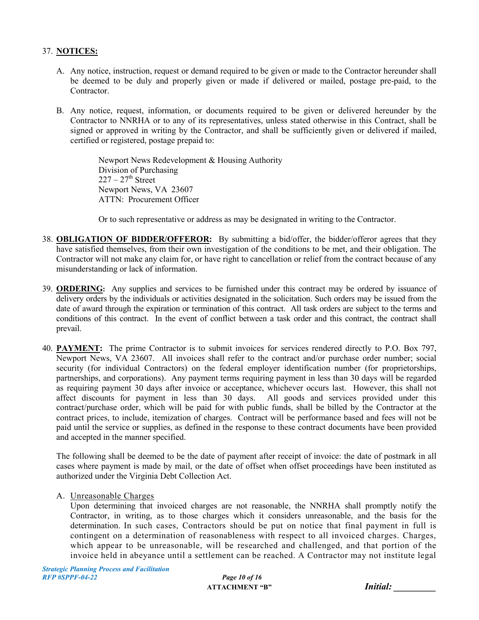#### 37. **NOTICES:**

- A. Any notice, instruction, request or demand required to be given or made to the Contractor hereunder shall be deemed to be duly and properly given or made if delivered or mailed, postage pre-paid, to the Contractor.
- B. Any notice, request, information, or documents required to be given or delivered hereunder by the Contractor to NNRHA or to any of its representatives, unless stated otherwise in this Contract, shall be signed or approved in writing by the Contractor, and shall be sufficiently given or delivered if mailed, certified or registered, postage prepaid to:

Newport News Redevelopment & Housing Authority Division of Purchasing  $227 - 27$ <sup>th</sup> Street Newport News, VA 23607 ATTN: Procurement Officer

Or to such representative or address as may be designated in writing to the Contractor.

- 38. **OBLIGATION OF BIDDER/OFFEROR:** By submitting a bid/offer, the bidder/offeror agrees that they have satisfied themselves, from their own investigation of the conditions to be met, and their obligation. The Contractor will not make any claim for, or have right to cancellation or relief from the contract because of any misunderstanding or lack of information.
- 39. **ORDERING:** Any supplies and services to be furnished under this contract may be ordered by issuance of delivery orders by the individuals or activities designated in the solicitation. Such orders may be issued from the date of award through the expiration or termination of this contract. All task orders are subject to the terms and conditions of this contract. In the event of conflict between a task order and this contract, the contract shall prevail.
- 40. **PAYMENT:** The prime Contractor is to submit invoices for services rendered directly to P.O. Box 797, Newport News, VA 23607. All invoices shall refer to the contract and/or purchase order number; social security (for individual Contractors) on the federal employer identification number (for proprietorships, partnerships, and corporations). Any payment terms requiring payment in less than 30 days will be regarded as requiring payment 30 days after invoice or acceptance, whichever occurs last. However, this shall not affect discounts for payment in less than 30 days. All goods and services provided under this contract/purchase order, which will be paid for with public funds, shall be billed by the Contractor at the contract prices, to include, itemization of charges. Contract will be performance based and fees will not be paid until the service or supplies, as defined in the response to these contract documents have been provided and accepted in the manner specified.

The following shall be deemed to be the date of payment after receipt of invoice: the date of postmark in all cases where payment is made by mail, or the date of offset when offset proceedings have been instituted as authorized under the Virginia Debt Collection Act.

A. Unreasonable Charges

Upon determining that invoiced charges are not reasonable, the NNRHA shall promptly notify the Contractor, in writing, as to those charges which it considers unreasonable, and the basis for the determination. In such cases, Contractors should be put on notice that final payment in full is contingent on a determination of reasonableness with respect to all invoiced charges. Charges, which appear to be unreasonable, will be researched and challenged, and that portion of the invoice held in abeyance until a settlement can be reached. A Contractor may not institute legal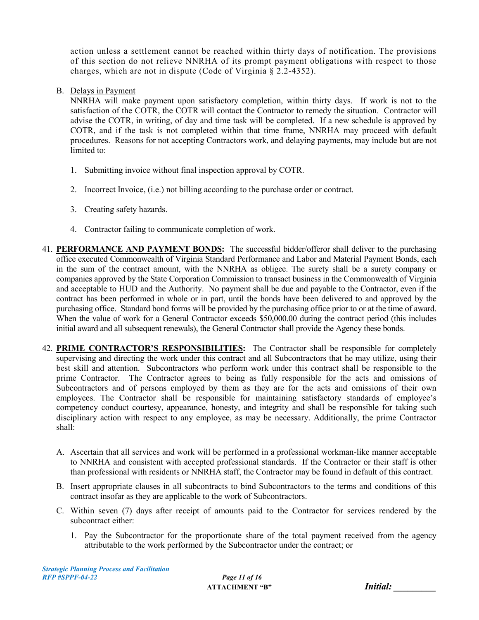action unless a settlement cannot be reached within thirty days of notification. The provisions of this section do not relieve NNRHA of its prompt payment obligations with respect to those charges, which are not in dispute (Code of Virginia § 2.2-4352).

B. Delays in Payment

NNRHA will make payment upon satisfactory completion, within thirty days. If work is not to the satisfaction of the COTR, the COTR will contact the Contractor to remedy the situation. Contractor will advise the COTR, in writing, of day and time task will be completed. If a new schedule is approved by COTR, and if the task is not completed within that time frame, NNRHA may proceed with default procedures. Reasons for not accepting Contractors work, and delaying payments, may include but are not limited to:

- 1. Submitting invoice without final inspection approval by COTR.
- 2. Incorrect Invoice, (i.e.) not billing according to the purchase order or contract.
- 3. Creating safety hazards.
- 4. Contractor failing to communicate completion of work.
- 41. **PERFORMANCE AND PAYMENT BONDS:** The successful bidder/offeror shall deliver to the purchasing office executed Commonwealth of Virginia Standard Performance and Labor and Material Payment Bonds, each in the sum of the contract amount, with the NNRHA as obligee. The surety shall be a surety company or companies approved by the State Corporation Commission to transact business in the Commonwealth of Virginia and acceptable to HUD and the Authority. No payment shall be due and payable to the Contractor, even if the contract has been performed in whole or in part, until the bonds have been delivered to and approved by the purchasing office. Standard bond forms will be provided by the purchasing office prior to or at the time of award. When the value of work for a General Contractor exceeds \$50,000.00 during the contract period (this includes initial award and all subsequent renewals), the General Contractor shall provide the Agency these bonds.
- 42. **PRIME CONTRACTOR'S RESPONSIBILITIES:** The Contractor shall be responsible for completely supervising and directing the work under this contract and all Subcontractors that he may utilize, using their best skill and attention. Subcontractors who perform work under this contract shall be responsible to the prime Contractor. The Contractor agrees to being as fully responsible for the acts and omissions of Subcontractors and of persons employed by them as they are for the acts and omissions of their own employees. The Contractor shall be responsible for maintaining satisfactory standards of employee's competency conduct courtesy, appearance, honesty, and integrity and shall be responsible for taking such disciplinary action with respect to any employee, as may be necessary. Additionally, the prime Contractor shall:
	- A. Ascertain that all services and work will be performed in a professional workman-like manner acceptable to NNRHA and consistent with accepted professional standards. If the Contractor or their staff is other than professional with residents or NNRHA staff, the Contractor may be found in default of this contract.
	- B. Insert appropriate clauses in all subcontracts to bind Subcontractors to the terms and conditions of this contract insofar as they are applicable to the work of Subcontractors.
	- C. Within seven (7) days after receipt of amounts paid to the Contractor for services rendered by the subcontract either:
		- 1. Pay the Subcontractor for the proportionate share of the total payment received from the agency attributable to the work performed by the Subcontractor under the contract; or

| <b>Initial:</b> |  |
|-----------------|--|
|                 |  |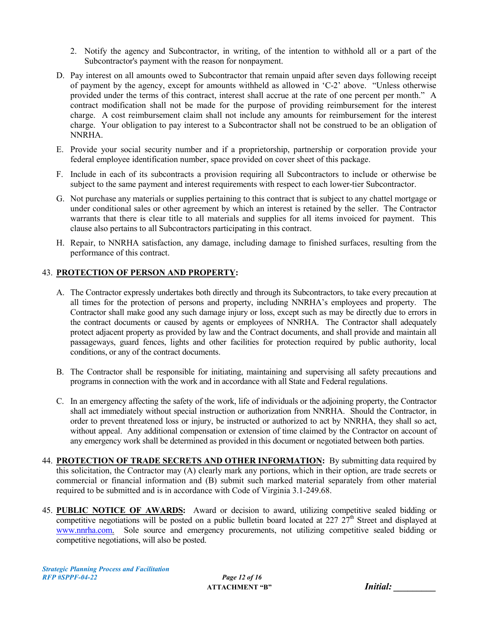- 2. Notify the agency and Subcontractor, in writing, of the intention to withhold all or a part of the Subcontractor's payment with the reason for nonpayment.
- D. Pay interest on all amounts owed to Subcontractor that remain unpaid after seven days following receipt of payment by the agency, except for amounts withheld as allowed in 'C-2' above. "Unless otherwise provided under the terms of this contract, interest shall accrue at the rate of one percent per month." A contract modification shall not be made for the purpose of providing reimbursement for the interest charge. A cost reimbursement claim shall not include any amounts for reimbursement for the interest charge. Your obligation to pay interest to a Subcontractor shall not be construed to be an obligation of NNRHA.
- E. Provide your social security number and if a proprietorship, partnership or corporation provide your federal employee identification number, space provided on cover sheet of this package.
- F. Include in each of its subcontracts a provision requiring all Subcontractors to include or otherwise be subject to the same payment and interest requirements with respect to each lower-tier Subcontractor.
- G. Not purchase any materials or supplies pertaining to this contract that is subject to any chattel mortgage or under conditional sales or other agreement by which an interest is retained by the seller. The Contractor warrants that there is clear title to all materials and supplies for all items invoiced for payment. This clause also pertains to all Subcontractors participating in this contract.
- H. Repair, to NNRHA satisfaction, any damage, including damage to finished surfaces, resulting from the performance of this contract.

#### 43. **PROTECTION OF PERSON AND PROPERTY:**

- A. The Contractor expressly undertakes both directly and through its Subcontractors, to take every precaution at all times for the protection of persons and property, including NNRHA's employees and property. The Contractor shall make good any such damage injury or loss, except such as may be directly due to errors in the contract documents or caused by agents or employees of NNRHA. The Contractor shall adequately protect adjacent property as provided by law and the Contract documents, and shall provide and maintain all passageways, guard fences, lights and other facilities for protection required by public authority, local conditions, or any of the contract documents.
- B. The Contractor shall be responsible for initiating, maintaining and supervising all safety precautions and programs in connection with the work and in accordance with all State and Federal regulations.
- C. In an emergency affecting the safety of the work, life of individuals or the adjoining property, the Contractor shall act immediately without special instruction or authorization from NNRHA. Should the Contractor, in order to prevent threatened loss or injury, be instructed or authorized to act by NNRHA, they shall so act, without appeal. Any additional compensation or extension of time claimed by the Contractor on account of any emergency work shall be determined as provided in this document or negotiated between both parties.
- 44. **PROTECTION OF TRADE SECRETS AND OTHER INFORMATION:** By submitting data required by this solicitation, the Contractor may (A) clearly mark any portions, which in their option, are trade secrets or commercial or financial information and (B) submit such marked material separately from other material required to be submitted and is in accordance with Code of Virginia 3.1-249.68.
- 45. **PUBLIC NOTICE OF AWARDS:** Award or decision to award, utilizing competitive sealed bidding or competitive negotiations will be posted on a public bulletin board located at  $227\ 27<sup>th</sup>$  Street and displayed at www.nnrha.com. Sole source and emergency procurements, not utilizing competitive sealed bidding or competitive negotiations, will also be posted.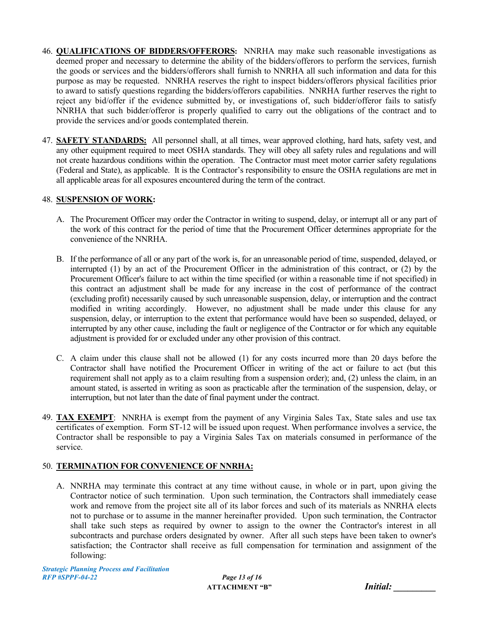- 46. **QUALIFICATIONS OF BIDDERS/OFFERORS:** NNRHA may make such reasonable investigations as deemed proper and necessary to determine the ability of the bidders/offerors to perform the services, furnish the goods or services and the bidders/offerors shall furnish to NNRHA all such information and data for this purpose as may be requested. NNRHA reserves the right to inspect bidders/offerors physical facilities prior to award to satisfy questions regarding the bidders/offerors capabilities. NNRHA further reserves the right to reject any bid/offer if the evidence submitted by, or investigations of, such bidder/offeror fails to satisfy NNRHA that such bidder/offeror is properly qualified to carry out the obligations of the contract and to provide the services and/or goods contemplated therein.
- 47. **SAFETY STANDARDS:** All personnel shall, at all times, wear approved clothing, hard hats, safety vest, and any other equipment required to meet OSHA standards. They will obey all safety rules and regulations and will not create hazardous conditions within the operation. The Contractor must meet motor carrier safety regulations (Federal and State), as applicable. It is the Contractor's responsibility to ensure the OSHA regulations are met in all applicable areas for all exposures encountered during the term of the contract.

#### 48. **SUSPENSION OF WORK:**

- A. The Procurement Officer may order the Contractor in writing to suspend, delay, or interrupt all or any part of the work of this contract for the period of time that the Procurement Officer determines appropriate for the convenience of the NNRHA.
- B. If the performance of all or any part of the work is, for an unreasonable period of time, suspended, delayed, or interrupted (1) by an act of the Procurement Officer in the administration of this contract, or (2) by the Procurement Officer's failure to act within the time specified (or within a reasonable time if not specified) in this contract an adjustment shall be made for any increase in the cost of performance of the contract (excluding profit) necessarily caused by such unreasonable suspension, delay, or interruption and the contract modified in writing accordingly. However, no adjustment shall be made under this clause for any suspension, delay, or interruption to the extent that performance would have been so suspended, delayed, or interrupted by any other cause, including the fault or negligence of the Contractor or for which any equitable adjustment is provided for or excluded under any other provision of this contract.
- C. A claim under this clause shall not be allowed (1) for any costs incurred more than 20 days before the Contractor shall have notified the Procurement Officer in writing of the act or failure to act (but this requirement shall not apply as to a claim resulting from a suspension order); and, (2) unless the claim, in an amount stated, is asserted in writing as soon as practicable after the termination of the suspension, delay, or interruption, but not later than the date of final payment under the contract.
- 49. **TAX EXEMPT**: NNRHA is exempt from the payment of any Virginia Sales Tax, State sales and use tax certificates of exemption. Form ST-12 will be issued upon request. When performance involves a service, the Contractor shall be responsible to pay a Virginia Sales Tax on materials consumed in performance of the service.

#### 50. **TERMINATION FOR CONVENIENCE OF NNRHA:**

A. NNRHA may terminate this contract at any time without cause, in whole or in part, upon giving the Contractor notice of such termination. Upon such termination, the Contractors shall immediately cease work and remove from the project site all of its labor forces and such of its materials as NNRHA elects not to purchase or to assume in the manner hereinafter provided. Upon such termination, the Contractor shall take such steps as required by owner to assign to the owner the Contractor's interest in all subcontracts and purchase orders designated by owner. After all such steps have been taken to owner's satisfaction; the Contractor shall receive as full compensation for termination and assignment of the following:

**ATTACHMENT "B"** 

| <b>Initial:</b> |  |  |
|-----------------|--|--|
|                 |  |  |
|                 |  |  |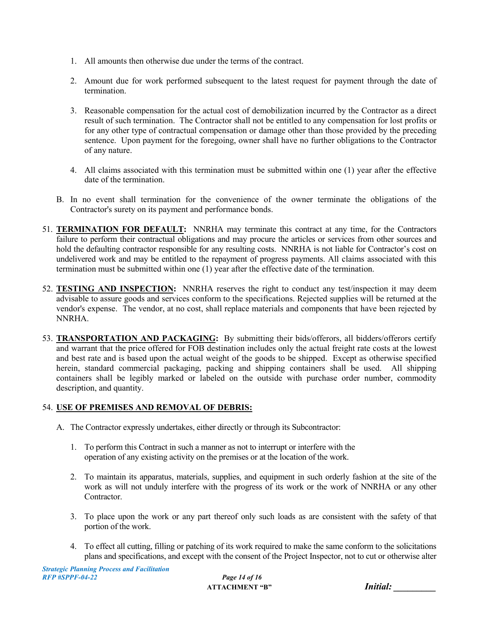- 1. All amounts then otherwise due under the terms of the contract.
- 2. Amount due for work performed subsequent to the latest request for payment through the date of termination.
- 3. Reasonable compensation for the actual cost of demobilization incurred by the Contractor as a direct result of such termination. The Contractor shall not be entitled to any compensation for lost profits or for any other type of contractual compensation or damage other than those provided by the preceding sentence. Upon payment for the foregoing, owner shall have no further obligations to the Contractor of any nature.
- 4. All claims associated with this termination must be submitted within one (1) year after the effective date of the termination.
- B. In no event shall termination for the convenience of the owner terminate the obligations of the Contractor's surety on its payment and performance bonds.
- 51. **TERMINATION FOR DEFAULT:** NNRHA may terminate this contract at any time, for the Contractors failure to perform their contractual obligations and may procure the articles or services from other sources and hold the defaulting contractor responsible for any resulting costs. NNRHA is not liable for Contractor's cost on undelivered work and may be entitled to the repayment of progress payments. All claims associated with this termination must be submitted within one (1) year after the effective date of the termination.
- 52. **TESTING AND INSPECTION:** NNRHA reserves the right to conduct any test/inspection it may deem advisable to assure goods and services conform to the specifications. Rejected supplies will be returned at the vendor's expense. The vendor, at no cost, shall replace materials and components that have been rejected by NNRHA.
- 53. **TRANSPORTATION AND PACKAGING:** By submitting their bids/offerors, all bidders/offerors certify and warrant that the price offered for FOB destination includes only the actual freight rate costs at the lowest and best rate and is based upon the actual weight of the goods to be shipped. Except as otherwise specified herein, standard commercial packaging, packing and shipping containers shall be used. All shipping containers shall be legibly marked or labeled on the outside with purchase order number, commodity description, and quantity.

## 54. **USE OF PREMISES AND REMOVAL OF DEBRIS:**

- A. The Contractor expressly undertakes, either directly or through its Subcontractor:
	- 1. To perform this Contract in such a manner as not to interrupt or interfere with the operation of any existing activity on the premises or at the location of the work.
	- 2. To maintain its apparatus, materials, supplies, and equipment in such orderly fashion at the site of the work as will not unduly interfere with the progress of its work or the work of NNRHA or any other Contractor.
	- 3. To place upon the work or any part thereof only such loads as are consistent with the safety of that portion of the work.
	- 4. To effect all cutting, filling or patching of its work required to make the same conform to the solicitations plans and specifications, and except with the consent of the Project Inspector, not to cut or otherwise alter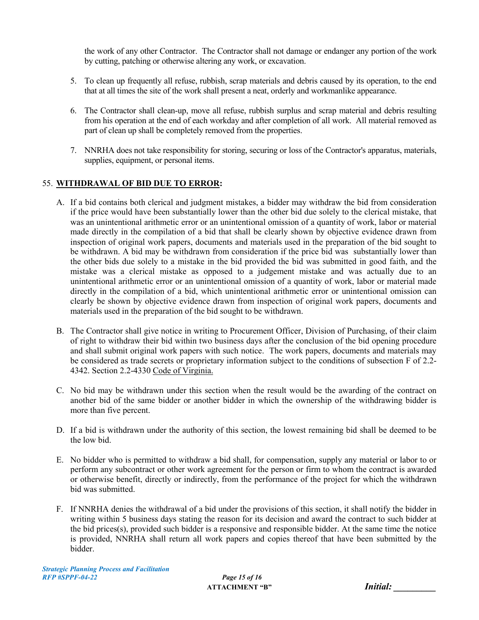the work of any other Contractor. The Contractor shall not damage or endanger any portion of the work by cutting, patching or otherwise altering any work, or excavation.

- 5. To clean up frequently all refuse, rubbish, scrap materials and debris caused by its operation, to the end that at all times the site of the work shall present a neat, orderly and workmanlike appearance.
- 6. The Contractor shall clean-up, move all refuse, rubbish surplus and scrap material and debris resulting from his operation at the end of each workday and after completion of all work. All material removed as part of clean up shall be completely removed from the properties.
- 7. NNRHA does not take responsibility for storing, securing or loss of the Contractor's apparatus, materials, supplies, equipment, or personal items.

#### 55. **WITHDRAWAL OF BID DUE TO ERROR:**

- A. If a bid contains both clerical and judgment mistakes, a bidder may withdraw the bid from consideration if the price would have been substantially lower than the other bid due solely to the clerical mistake, that was an unintentional arithmetic error or an unintentional omission of a quantity of work, labor or material made directly in the compilation of a bid that shall be clearly shown by objective evidence drawn from inspection of original work papers, documents and materials used in the preparation of the bid sought to be withdrawn. A bid may be withdrawn from consideration if the price bid was substantially lower than the other bids due solely to a mistake in the bid provided the bid was submitted in good faith, and the mistake was a clerical mistake as opposed to a judgement mistake and was actually due to an unintentional arithmetic error or an unintentional omission of a quantity of work, labor or material made directly in the compilation of a bid, which unintentional arithmetic error or unintentional omission can clearly be shown by objective evidence drawn from inspection of original work papers, documents and materials used in the preparation of the bid sought to be withdrawn.
- B. The Contractor shall give notice in writing to Procurement Officer, Division of Purchasing, of their claim of right to withdraw their bid within two business days after the conclusion of the bid opening procedure and shall submit original work papers with such notice. The work papers, documents and materials may be considered as trade secrets or proprietary information subject to the conditions of subsection F of 2.2- 4342. Section 2.2-4330 Code of Virginia.
- C. No bid may be withdrawn under this section when the result would be the awarding of the contract on another bid of the same bidder or another bidder in which the ownership of the withdrawing bidder is more than five percent.
- D. If a bid is withdrawn under the authority of this section, the lowest remaining bid shall be deemed to be the low bid.
- E. No bidder who is permitted to withdraw a bid shall, for compensation, supply any material or labor to or perform any subcontract or other work agreement for the person or firm to whom the contract is awarded or otherwise benefit, directly or indirectly, from the performance of the project for which the withdrawn bid was submitted.
- F. If NNRHA denies the withdrawal of a bid under the provisions of this section, it shall notify the bidder in writing within 5 business days stating the reason for its decision and award the contract to such bidder at the bid prices(s), provided such bidder is a responsive and responsible bidder. At the same time the notice is provided, NNRHA shall return all work papers and copies thereof that have been submitted by the bidder.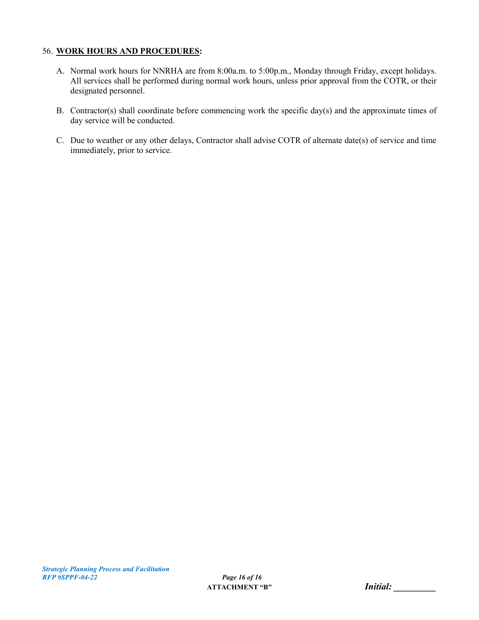#### 56. **WORK HOURS AND PROCEDURES:**

- A. Normal work hours for NNRHA are from 8:00a.m. to 5:00p.m., Monday through Friday, except holidays. All services shall be performed during normal work hours, unless prior approval from the COTR, or their designated personnel.
- B. Contractor(s) shall coordinate before commencing work the specific day(s) and the approximate times of day service will be conducted.
- C. Due to weather or any other delays, Contractor shall advise COTR of alternate date(s) of service and time immediately, prior to service.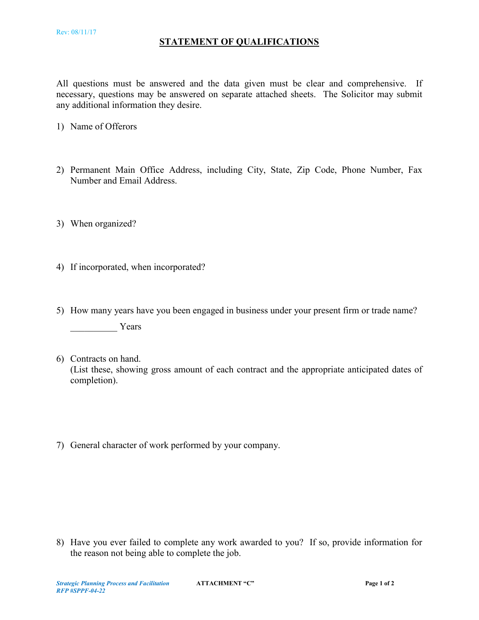#### **STATEMENT OF QUALIFICATIONS**

All questions must be answered and the data given must be clear and comprehensive. If necessary, questions may be answered on separate attached sheets. The Solicitor may submit any additional information they desire.

- 1) Name of Offerors
- 2) Permanent Main Office Address, including City, State, Zip Code, Phone Number, Fax Number and Email Address.
- 3) When organized?
- 4) If incorporated, when incorporated?
- 5) How many years have you been engaged in business under your present firm or trade name?

Years

- 6) Contracts on hand. (List these, showing gross amount of each contract and the appropriate anticipated dates of completion).
- 7) General character of work performed by your company.

8) Have you ever failed to complete any work awarded to you? If so, provide information for the reason not being able to complete the job.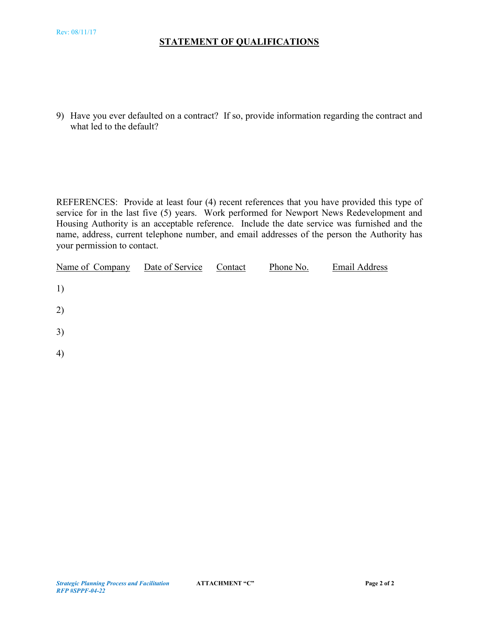## **STATEMENT OF QUALIFICATIONS**

9) Have you ever defaulted on a contract? If so, provide information regarding the contract and what led to the default?

REFERENCES: Provide at least four (4) recent references that you have provided this type of service for in the last five (5) years. Work performed for Newport News Redevelopment and Housing Authority is an acceptable reference. Include the date service was furnished and the name, address, current telephone number, and email addresses of the person the Authority has your permission to contact.

| Name of Company | Date of Service | Contact | Phone No. | <b>Email Address</b> |
|-----------------|-----------------|---------|-----------|----------------------|
| 1)              |                 |         |           |                      |
| 2)              |                 |         |           |                      |
| 3)              |                 |         |           |                      |
| 4)              |                 |         |           |                      |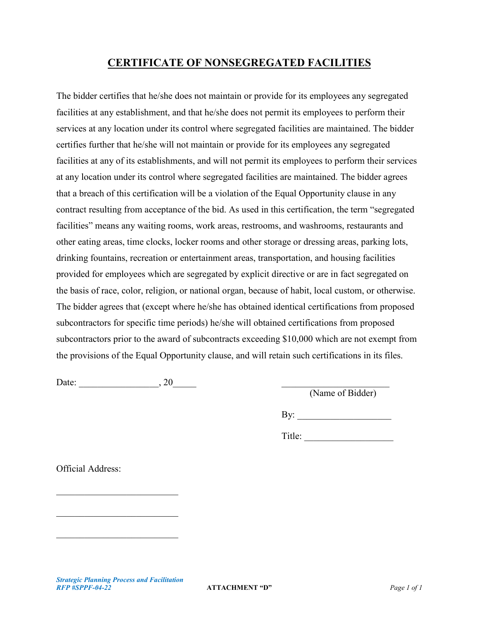## **CERTIFICATE OF NONSEGREGATED FACILITIES**

The bidder certifies that he/she does not maintain or provide for its employees any segregated facilities at any establishment, and that he/she does not permit its employees to perform their services at any location under its control where segregated facilities are maintained. The bidder certifies further that he/she will not maintain or provide for its employees any segregated facilities at any of its establishments, and will not permit its employees to perform their services at any location under its control where segregated facilities are maintained. The bidder agrees that a breach of this certification will be a violation of the Equal Opportunity clause in any contract resulting from acceptance of the bid. As used in this certification, the term "segregated facilities" means any waiting rooms, work areas, restrooms, and washrooms, restaurants and other eating areas, time clocks, locker rooms and other storage or dressing areas, parking lots, drinking fountains, recreation or entertainment areas, transportation, and housing facilities provided for employees which are segregated by explicit directive or are in fact segregated on the basis of race, color, religion, or national organ, because of habit, local custom, or otherwise. The bidder agrees that (except where he/she has obtained identical certifications from proposed subcontractors for specific time periods) he/she will obtained certifications from proposed subcontractors prior to the award of subcontracts exceeding \$10,000 which are not exempt from the provisions of the Equal Opportunity clause, and will retain such certifications in its files.

Date: \_\_\_\_\_\_\_\_\_\_\_\_\_\_\_\_\_, 20\_\_\_\_\_ \_\_\_\_\_\_\_\_\_\_\_\_\_\_\_\_\_\_\_\_\_\_\_

(Name of Bidder)

By:

Title:

Official Address:

\_\_\_\_\_\_\_\_\_\_\_\_\_\_\_\_\_\_\_\_\_\_\_\_\_\_

\_\_\_\_\_\_\_\_\_\_\_\_\_\_\_\_\_\_\_\_\_\_\_\_\_\_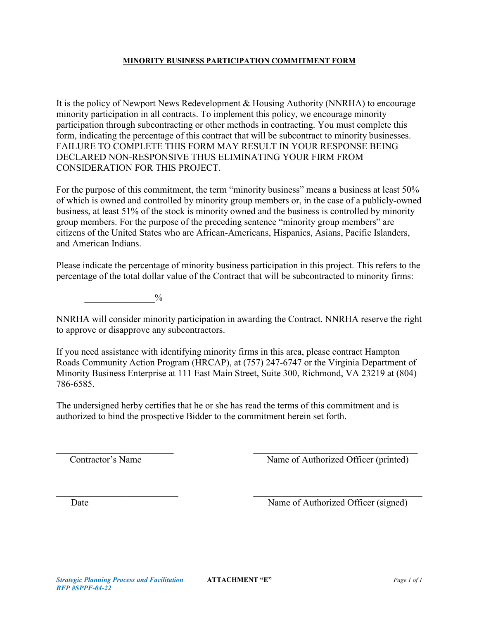#### **MINORITY BUSINESS PARTICIPATION COMMITMENT FORM**

It is the policy of Newport News Redevelopment & Housing Authority (NNRHA) to encourage minority participation in all contracts. To implement this policy, we encourage minority participation through subcontracting or other methods in contracting. You must complete this form, indicating the percentage of this contract that will be subcontract to minority businesses. FAILURE TO COMPLETE THIS FORM MAY RESULT IN YOUR RESPONSE BEING DECLARED NON-RESPONSIVE THUS ELIMINATING YOUR FIRM FROM CONSIDERATION FOR THIS PROJECT.

For the purpose of this commitment, the term "minority business" means a business at least 50% of which is owned and controlled by minority group members or, in the case of a publicly-owned business, at least 51% of the stock is minority owned and the business is controlled by minority group members. For the purpose of the preceding sentence "minority group members" are citizens of the United States who are African-Americans, Hispanics, Asians, Pacific Islanders, and American Indians.

Please indicate the percentage of minority business participation in this project. This refers to the percentage of the total dollar value of the Contract that will be subcontracted to minority firms:

 $\frac{0}{2}$ 

NNRHA will consider minority participation in awarding the Contract. NNRHA reserve the right to approve or disapprove any subcontractors.

If you need assistance with identifying minority firms in this area, please contract Hampton Roads Community Action Program (HRCAP), at (757) 247-6747 or the Virginia Department of Minority Business Enterprise at 111 East Main Street, Suite 300, Richmond, VA 23219 at (804) 786-6585.

The undersigned herby certifies that he or she has read the terms of this commitment and is authorized to bind the prospective Bidder to the commitment herein set forth.

Contractor's Name Mame of Authorized Officer (printed)

Date Name of Authorized Officer (signed)

 $\frac{1}{2}$  ,  $\frac{1}{2}$  ,  $\frac{1}{2}$  ,  $\frac{1}{2}$  ,  $\frac{1}{2}$  ,  $\frac{1}{2}$  ,  $\frac{1}{2}$  ,  $\frac{1}{2}$  ,  $\frac{1}{2}$  ,  $\frac{1}{2}$  ,  $\frac{1}{2}$  ,  $\frac{1}{2}$  ,  $\frac{1}{2}$  ,  $\frac{1}{2}$  ,  $\frac{1}{2}$  ,  $\frac{1}{2}$  ,  $\frac{1}{2}$  ,  $\frac{1}{2}$  ,  $\frac{1$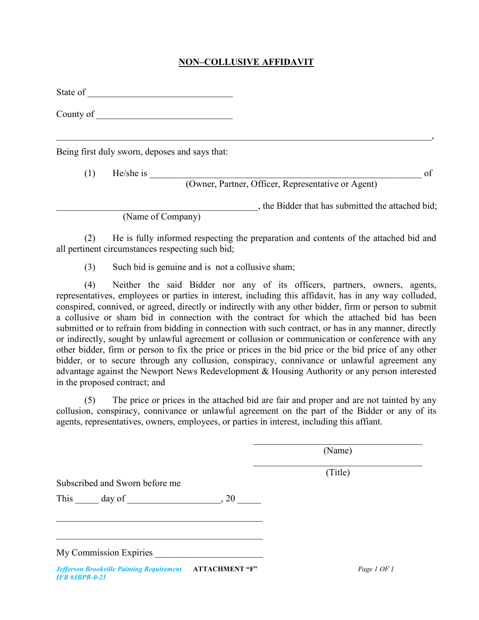## **NON–COLLUSIVE AFFIDAVIT**

\_\_\_\_\_\_\_\_\_\_\_\_\_\_\_\_\_\_\_\_\_\_\_\_\_\_\_\_\_\_\_\_\_\_\_\_\_\_\_\_\_\_\_\_\_\_\_\_\_\_\_\_\_\_\_\_\_\_\_\_\_\_\_\_\_\_\_\_\_\_\_\_\_\_\_\_\_\_\_\_,

State of \_\_\_\_\_\_\_\_\_\_\_\_\_\_\_\_\_\_\_\_\_\_\_\_\_\_\_\_\_\_\_

County of

Being first duly sworn, deposes and says that:

(1) He/she is \_\_\_\_\_\_\_\_\_\_\_\_\_\_\_\_\_\_\_\_\_\_\_\_\_\_\_\_\_\_\_\_\_\_\_\_\_\_\_\_\_\_\_\_\_\_\_\_\_\_\_\_\_\_\_\_\_\_ of

(Owner, Partner, Officer, Representative or Agent)

\_\_\_\_\_\_\_\_\_\_\_\_\_\_\_\_\_\_\_\_\_\_\_\_\_\_\_\_\_\_\_\_\_\_\_\_\_\_\_\_\_\_\_, the Bidder that has submitted the attached bid;

(Name of Company)

(2) He is fully informed respecting the preparation and contents of the attached bid and all pertinent circumstances respecting such bid;

(3) Such bid is genuine and is not a collusive sham;

(4) Neither the said Bidder nor any of its officers, partners, owners, agents, representatives, employees or parties in interest, including this affidavit, has in any way colluded, conspired, connived, or agreed, directly or indirectly with any other bidder, firm or person to submit a collusive or sham bid in connection with the contract for which the attached bid has been submitted or to refrain from bidding in connection with such contract, or has in any manner, directly or indirectly, sought by unlawful agreement or collusion or communication or conference with any other bidder, firm or person to fix the price or prices in the bid price or the bid price of any other bidder, or to secure through any collusion, conspiracy, connivance or unlawful agreement any advantage against the Newport News Redevelopment & Housing Authority or any person interested in the proposed contract; and

(5) The price or prices in the attached bid are fair and proper and are not tainted by any collusion, conspiracy, connivance or unlawful agreement on the part of the Bidder or any of its agents, representatives, owners, employees, or parties in interest, including this affiant.

> $\mathcal{L}_\mathcal{L}$ (Name)  $\overline{\mathcal{L}}$  , and the state of the state of the state of the state of the state of the state of the state of the state of the state of the state of the state of the state of the state of the state of the state of the stat

> > (Title)

Subscribed and Sworn before me

This  $\_\_\_$  day of  $\_\_\_\_\_$ , 20  $\_\_\_\_\$ 

 $\mathcal{L}_\mathcal{L}$  , which is a set of the set of the set of the set of the set of the set of the set of the set of the set of the set of the set of the set of the set of the set of the set of the set of the set of the set of

My Commission Expiries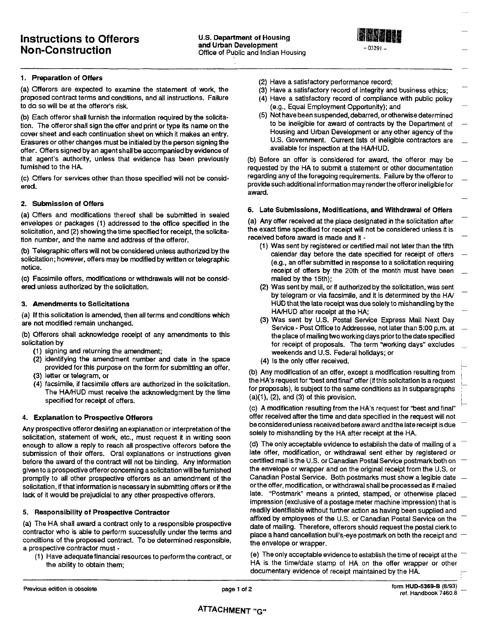

1. Preparation of Offers

(a) Offerors are expected to examine the statement of work, the proposed contract terms and conditions, and all instructions. Failure to do so will be at the offeror's risk.

(b) Each offeror shall furnish the information required by the solicitation. The offeror shall sign the offer and print or type its name on the cover sheet and each continuation sheet on which it makes an entry. Erasures or other changes must be initialed by the person signing the offer. Offers signed by an agent shall be accompanied by evidence of that agent's authority, unless that evidence has been previously furnished to the HA.

(c) Offers for services other than those specified will not be considered.

#### 2. Submission of Offers

(a) Offers and modifications thereof shall be submitted in sealed envelopes or packages (1) addressed to the office specified in the solicitation, and (2) showing the time specified for receipt, the solicitation number, and the name and address of the offeror.

(b) Telegraphic offers will not be considered unless authorized by the solicitation; however, offers may be modified by written or telegraphic notice.

(c) Facsimile offers, modifications or withdrawals will not be considered unless authorized by the solicitation.

#### 3. Amendments to Solicitations

(a) If this solicitation is amended, then all terms and conditions which are not modified remain unchanged.

(b) Offerors shall acknowledge receipt of any amendments to this solicitation by

- (1) signing and returning the amendment;
- (2) identifying the amendment number and date in the space provided for this purpose on the form for submitting an offer,
- (3) letter or telegram, or
- (4) facsimile, if facsimile offers are authorized in the solicitation. The HA/HUD must receive the acknowledgment by the time specified for receipt of offers.

#### 4. Explanation to Prospective Offerors

Any prospective offeror desiring an explanation or interpretation of the solicitation, statement of work, etc., must request it in writing soon enough to allow a reply to reach all prospective offerors before the submission of their offers. Oral explanations or instructions given before the award of the contract will not be binding. Any information given to a prospective offeror concerning a solicitation will be furnished promptly to all other prospective offerors as an amendment of the solicitation, if that information is necessary in submitting offers or if the lack of it would be prejudicial to any other prospective offerors.

#### 5. Responsibility of Prospective Contractor

(a) The HA shall award a contract only to a responsible prospective contractor who is able to perform successfully under the terms and conditions of the proposed contract. To be determined responsible, a prospective contractor must -

(1) Have adequate financial resources to perform the contract, or the ability to obtain them;

- (2) Have a satisfactory performance record;
- (3) Have a satisfactory record of integrity and business ethics;
- (4) Have a satisfactory record of compliance with public policy (e.g., Equal Employment Opportunity); and
- (5) Not have been suspended, debarred, or otherwise determined to be ineligible for award of contracts by the Department of Housing and Urban Development or any other agency of the U.S. Government. Current lists of ineligible contractors are available for inspection at the HA/HUD.

(b) Before an offer is considered for award, the offeror may be requested by the HA to submit a statement or other documentation regarding any of the foregoing requirements. Failure by the offeror to provide such additional information may render the offeror ineligible for award.

#### 6. Late Submissions, Modifications, and Withdrawal of Offers

(a) Any offer received at the place designated in the solicitation after the exact time specified for receipt will not be considered unless it is received before award is made and it -

- (1) Was sent by registered or certified mail not later than the fifth calendar day before the date specified for receipt of offers (e.g., an offer submitted in response to a solicitation requiring receipt of offers by the 20th of the month must have been mailed by the 15th);
- (2) Was sent by mail, or if authorized by the solicitation, was sent by telegram or via facsimile, and it is determined by the HA/ HUD that the late receipt was due solely to mishandling by the HA/HUD after receipt at the HA;
- (3) Was sent by U.S. Postal Service Express Mail Next Day Service - Post Office to Addressee, not later than 5:00 p.m. at the place of mailing two working days prior to the date specified for receipt of proposals. The term "working days" excludes weekends and U.S. Federal holidays; or
- (4) is the only offer received.

(b) Any modification of an offer, except a modification resulting from the HA's request for "best and final" offer (if this solicitation is a request for proposals), is subject to the same conditions as in subparagraphs  $(a)(1)$ ,  $(2)$ , and  $(3)$  of this provision.

(c) A modification resulting from the HA's request for "best and final" offer received after the time and date specified in the request will not be considered unless received before award and the late receipt is due solely to mishandling by the HA after receipt at the HA.

(d) The only acceptable evidence to establish the date of mailing of a late offer, modification, or withdrawal sent either by registered or certified mail is the U.S. or Canadian Postal Service postmark both on the envelope or wrapper and on the original receipt from the U.S. or Canadian Postal Service. Both postmarks must show a legible date or the offer, modification, or withdrawal shall be processed as if mailed late. "Postmark" means a printed, stamped, or otherwise placed impression (exclusive of a postage meter machine impression) that is readily identifiable without further action as having been supplied and affixed by employees of the U.S. or Canadian Postal Service on the date of mailing. Therefore, offerors should request the postal clerk to place a hand cancellation bull's-eye postmark on both the receipt and the envelope or wrapper.

(e) The only acceptable evidence to establish the time of receipt at the HA is the time/date stamp of HA on the offer wrapper or other documentary evidence of receipt maintained by the HA.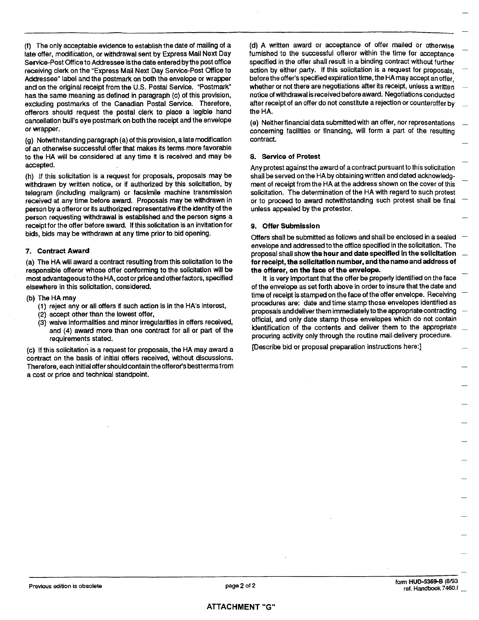(f) The only acceptable evidence to establish the date of mailing of a late offer, modification, or withdrawal sent by Express Mail Next Day Service-Post Office to Addressee is the date entered by the post office receiving clerk on the "Express Mail Next Day Service-Post Office to Addressee" label and the postmark on both the envelope or wrapper and on the original receipt from the U.S. Postal Service. "Postmark" has the same meaning as defined in paragraph (c) of this provision, excluding postmarks of the Canadian Postal Service. Therefore, offerors should request the postal clerk to place a legible hand cancellation bull's eye postmark on both the receipt and the envelope or wrapper.

(g) Notwithstanding paragraph (a) of this provision, a late modification of an otherwise successful offer that makes its terms more favorable to the HA will be considered at any time it is received and may be accepted.

(h) If this solicitation is a request for proposals, proposals may be withdrawn by written notice, or if authorized by this solicitation, by telegram (including mailgram) or facsimile machine transmission received at any time before award. Proposals may be withdrawn in person by a offeror or its authorized representative if the identity of the person requesting withdrawal is established and the person signs a receipt for the offer before award. If this solicitation is an invitation for bids, bids may be withdrawn at any time prior to bid opening.

#### 7. Contract Award

(a) The HA will award a contract resulting from this solicitation to the responsible offeror whose offer conforming to the solicitation will be most advantageous to the HA, cost or price and other factors, specified elsewhere in this solicitation, considered.

#### (b) The HA may

- (1) reject any or all offers if such action is in the HA's interest,
- (2) accept other than the lowest offer,
- (3) waive informalities and minor irregularities in offers received, and (4) award more than one contract for all or part of the requirements stated.

(c) If this solicitation is a request for proposals, the HA may award a contract on the basis of initial offers received, without discussions. Therefore, each initial offer should contain the offeror's best terms from a cost or price and technical standpoint.

(d) A written award or acceptance of offer mailed or otherwise furnished to the successful offeror within the time for acceptance specified in the offer shall result in a binding contract without further action by either party. If this solicitation is a request for proposals. before the offer's specified expiration time, the HA may accept an offer whether or not there are negotiations after its receipt, unless a written notice of withdrawal is received before award. Negotiations conducted after receipt of an offer do not constitute a rejection or counteroffer by the HA.

(e) Neither financial data submitted with an offer, nor representations concerning facilities or financing, will form a part of the resulting contract.

#### 8. Service of Protest

Any protest against the award of a contract pursuant to this solicitation shall be served on the HA by obtaining written and dated acknowledgment of receipt from the HA at the address shown on the cover of this solicitation. The determination of the HA with regard to such protest or to proceed to award notwithstanding such protest shall be final unless appealed by the protestor.

#### 9. Offer Submission

Offers shall be submitted as follows and shall be enclosed in a sealed envelope and addressed to the office specified in the solicitation. The proposal shall show the hour and date specified in the solicitation for receipt, the solicitation number, and the name and address of the offeror, on the face of the envelope.

It is very important that the offer be properly identified on the face of the envelope as set forth above in order to insure that the date and time of receipt is stamped on the face of the offer envelope. Receiving procedures are: date and time stamp those envelopes identified as proposals and deliver them immediately to the appropriate contracting official, and only date stamp those envelopes which do not contain identification of the contents and deliver them to the appropriate procuring activity only through the routine mail delivery procedure.

[Describe bid or proposal preparation instructions here:]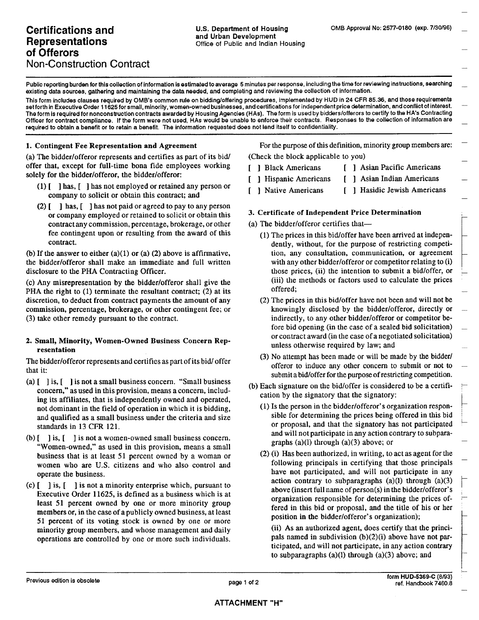Public reporting burden for this collection of information is estimated to average 5 minutes per response, including the time for reviewing instructions, searching existing data sources, gathering and maintaining the data needed, and completing and reviewing the collection of information.

This form includes clauses required by OMB's common rule on bidding/offering procedures, implemented by HUD in 24 CFR 85.36, and those requirements set forth in Executive Order 11625 for small, minority, women-owned businesses, and certifications for independent price determination, and conflict of interest. The form is required for nonconstruction contracts awarded by Housing Agencies (HAs). The form is used by bidders/offerors to certify to the HA's Contracting Officer for contract compliance. If the form were not used, HAs would be unable to enforce their contracts. Responses to the collection of information are required to obtain a benefit or to retain a benefit. The information requested does not lend itself to confidentiality.

#### 1. Contingent Fee Representation and Agreement

(a) The bidder/offeror represents and certifies as part of its bid/ offer that, except for full-time bona fide employees working solely for the bidder/offeror, the bidder/offeror:

- $(1)$  [ ] has, [ ] has not employed or retained any person or company to solicit or obtain this contract; and
- $(2)$  [ ] has, [ ] has not paid or agreed to pay to any person or company employed or retained to solicit or obtain this contract any commission, percentage, brokerage, or other fee contingent upon or resulting from the award of this contract.

(b) If the answer to either  $(a)(1)$  or  $(a)(2)$  above is affirmative, the bidder/offeror shall make an immediate and full written disclosure to the PHA Contracting Officer.

(c) Any misrepresentation by the bidder/offeror shall give the PHA the right to  $(1)$  terminate the resultant contract;  $(2)$  at its discretion, to deduct from contract payments the amount of any commission, percentage, brokerage, or other contingent fee; or (3) take other remedy pursuant to the contract.

#### 2. Small, Minority, Women-Owned Business Concern Representation

The bidder/offeror represents and certifies as part of its bid/ offer that it:

- (a)  $\left[ \begin{array}{c} 1 \end{array} \right]$  is not a small business concern. "Small business" concern," as used in this provision, means a concern, including its affiliates, that is independently owned and operated, not dominant in the field of operation in which it is bidding, and qualified as a small business under the criteria and size standards in 13 CFR 121.
- (b)  $\lceil \cdot \rceil$  is,  $\lceil \cdot \rceil$  is not a women-owned small business concern. "Women-owned," as used in this provision, means a small business that is at least 51 percent owned by a woman or women who are U.S. citizens and who also control and operate the business.
- (c)  $\begin{bmatrix} 1 & 1 \end{bmatrix}$  is not a minority enterprise which, pursuant to Executive Order 11625, is defined as a business which is at least 51 percent owned by one or more minority group members or, in the case of a publicly owned business, at least 51 percent of its voting stock is owned by one or more minority group members, and whose management and daily operations are controlled by one or more such individuals.

For the purpose of this definition, minority group members are: (Check the block applicable to you)

- [ ] Black Americans
	- [ ] Asian Pacific Americans
- [ ] Hispanic Americans [ ] Asian Indian Americans
	- [ ] Hasidic Jewish Americans
- [ ] Native Americans

#### 3. Certificate of Independent Price Determination

- (a) The bidder/offeror certifies that-
	- (1) The prices in this bid/offer have been arrived at independently, without, for the purpose of restricting competition, any consultation, communication, or agreement with any other bidder/offeror or competitor relating to (i) those prices, (ii) the intention to submit a bid/offer, or (iii) the methods or factors used to calculate the prices offered;
	- (2) The prices in this bid/offer have not been and will not be knowingly disclosed by the bidder/offeror, directly or indirectly, to any other bidder/offeror or competitor before bid opening (in the case of a sealed bid solicitation) or contract award (in the case of a negotiated solicitation) unless otherwise required by law; and
	- (3) No attempt has been made or will be made by the bidder/ offeror to induce any other concern to submit or not to submit a bid/offer for the purpose of restricting competition.
- (b) Each signature on the bid/offer is considered to be a certification by the signatory that the signatory:
	- (1) Is the person in the bidder/offeror's organization responsible for determining the prices being offered in this bid or proposal, and that the signatory has not participated and will not participate in any action contrary to subparagraphs  $(a)(l)$  through  $(a)(3)$  above; or
	- (2) (i) Has been authorized, in writing, to act as agent for the following principals in certifying that those principals have not participated, and will not participate in any action contrary to subparagraphs  $(a)(1)$  through  $(a)(3)$ above (insert full name of person(s) in the bidder/offeror's organization responsible for determining the prices offered in this bid or proposal, and the title of his or her position in the bidder/offeror's organization);

(ii) As an authorized agent, does certify that the principals named in subdivision  $(b)(2)(i)$  above have not participated, and will not participate, in any action contrary to subparagraphs  $(a)(1)$  through  $(a)(3)$  above; and